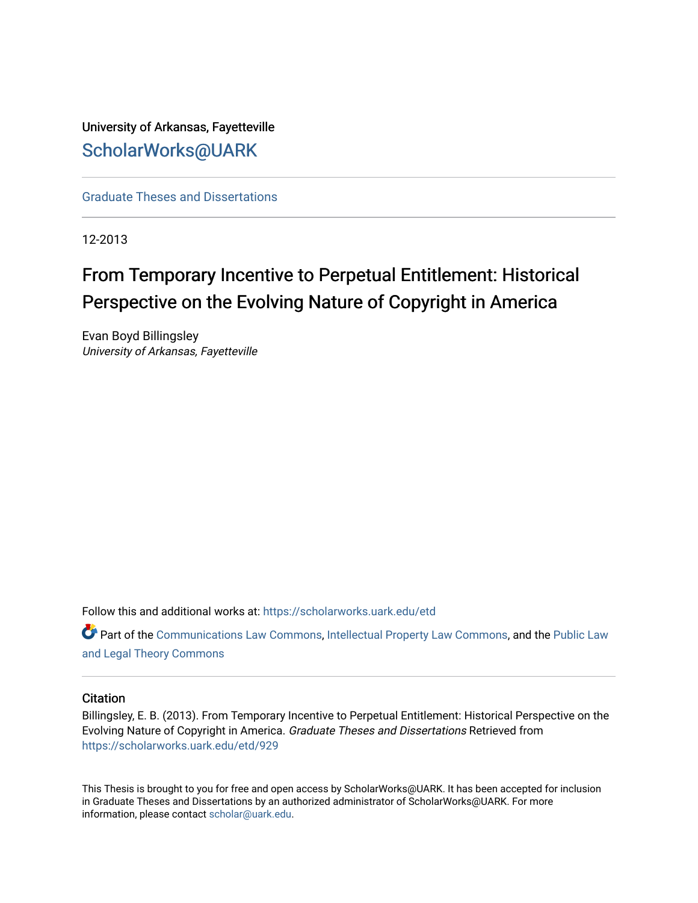University of Arkansas, Fayetteville [ScholarWorks@UARK](https://scholarworks.uark.edu/) 

[Graduate Theses and Dissertations](https://scholarworks.uark.edu/etd) 

12-2013

# From Temporary Incentive to Perpetual Entitlement: Historical Perspective on the Evolving Nature of Copyright in America

Evan Boyd Billingsley University of Arkansas, Fayetteville

Follow this and additional works at: [https://scholarworks.uark.edu/etd](https://scholarworks.uark.edu/etd?utm_source=scholarworks.uark.edu%2Fetd%2F929&utm_medium=PDF&utm_campaign=PDFCoverPages)

Part of the [Communications Law Commons,](http://network.bepress.com/hgg/discipline/587?utm_source=scholarworks.uark.edu%2Fetd%2F929&utm_medium=PDF&utm_campaign=PDFCoverPages) [Intellectual Property Law Commons,](http://network.bepress.com/hgg/discipline/896?utm_source=scholarworks.uark.edu%2Fetd%2F929&utm_medium=PDF&utm_campaign=PDFCoverPages) and the [Public Law](http://network.bepress.com/hgg/discipline/871?utm_source=scholarworks.uark.edu%2Fetd%2F929&utm_medium=PDF&utm_campaign=PDFCoverPages)  [and Legal Theory Commons](http://network.bepress.com/hgg/discipline/871?utm_source=scholarworks.uark.edu%2Fetd%2F929&utm_medium=PDF&utm_campaign=PDFCoverPages) 

#### **Citation**

Billingsley, E. B. (2013). From Temporary Incentive to Perpetual Entitlement: Historical Perspective on the Evolving Nature of Copyright in America. Graduate Theses and Dissertations Retrieved from [https://scholarworks.uark.edu/etd/929](https://scholarworks.uark.edu/etd/929?utm_source=scholarworks.uark.edu%2Fetd%2F929&utm_medium=PDF&utm_campaign=PDFCoverPages) 

This Thesis is brought to you for free and open access by ScholarWorks@UARK. It has been accepted for inclusion in Graduate Theses and Dissertations by an authorized administrator of ScholarWorks@UARK. For more information, please contact [scholar@uark.edu.](mailto:scholar@uark.edu)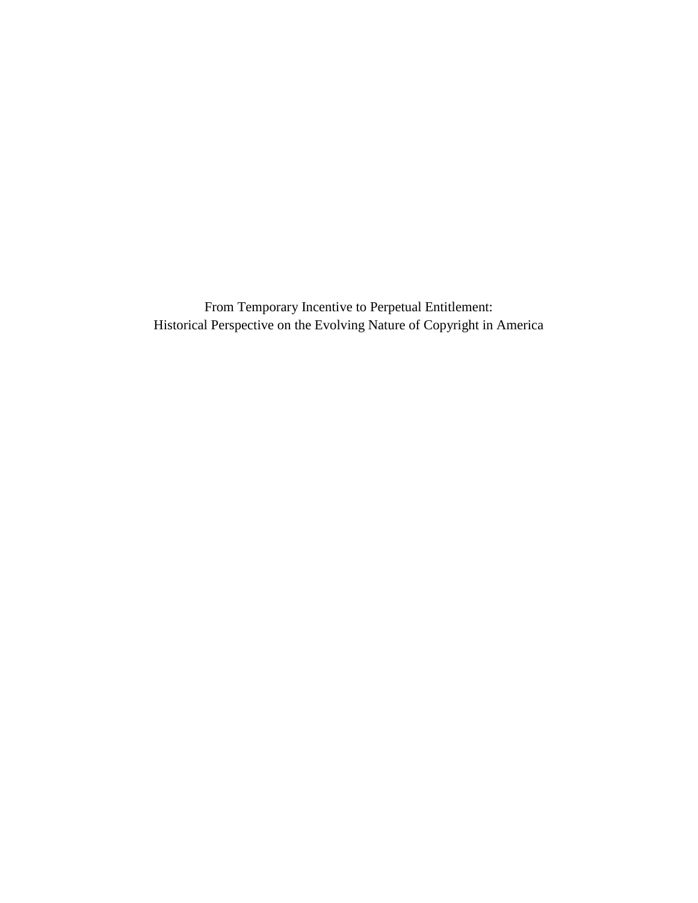From Temporary Incentive to Perpetual Entitlement: Historical Perspective on the Evolving Nature of Copyright in America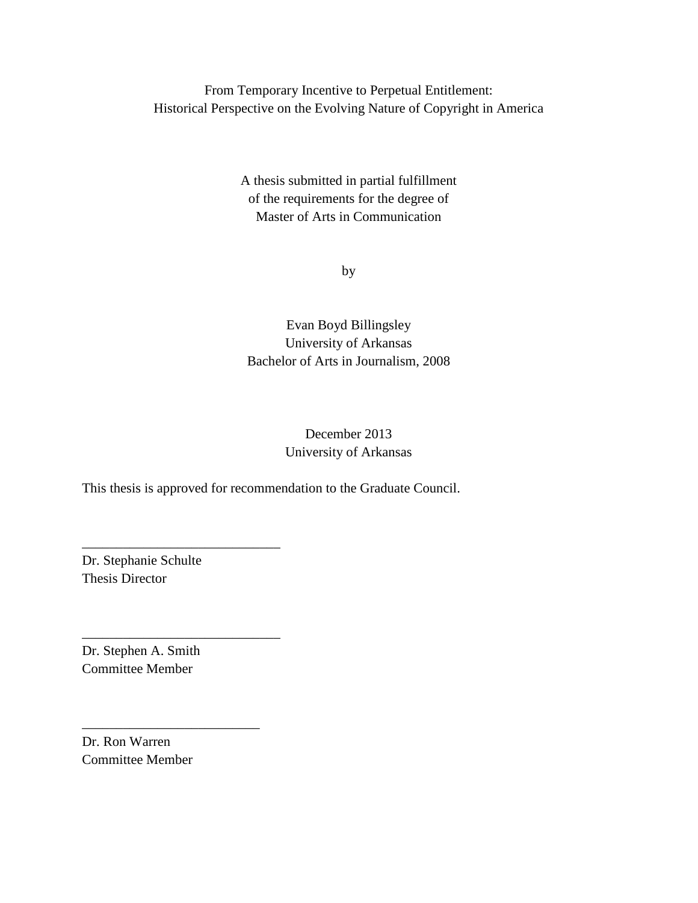From Temporary Incentive to Perpetual Entitlement: Historical Perspective on the Evolving Nature of Copyright in America

> A thesis submitted in partial fulfillment of the requirements for the degree of Master of Arts in Communication

> > by

### Evan Boyd Billingsley University of Arkansas Bachelor of Arts in Journalism, 2008

### December 2013 University of Arkansas

This thesis is approved for recommendation to the Graduate Council.

Dr. Stephanie Schulte Thesis Director

\_\_\_\_\_\_\_\_\_\_\_\_\_\_\_\_\_\_\_\_\_\_\_\_\_\_\_\_\_

\_\_\_\_\_\_\_\_\_\_\_\_\_\_\_\_\_\_\_\_\_\_\_\_\_\_\_\_\_

\_\_\_\_\_\_\_\_\_\_\_\_\_\_\_\_\_\_\_\_\_\_\_\_\_\_

Dr. Stephen A. Smith Committee Member

Dr. Ron Warren Committee Member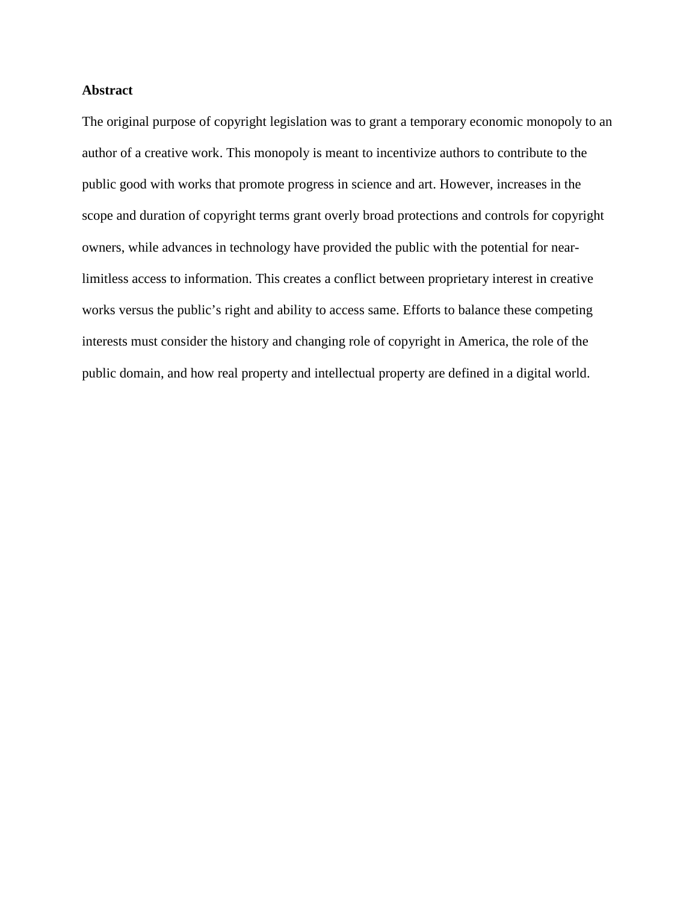#### **Abstract**

The original purpose of copyright legislation was to grant a temporary economic monopoly to an author of a creative work. This monopoly is meant to incentivize authors to contribute to the public good with works that promote progress in science and art. However, increases in the scope and duration of copyright terms grant overly broad protections and controls for copyright owners, while advances in technology have provided the public with the potential for nearlimitless access to information. This creates a conflict between proprietary interest in creative works versus the public's right and ability to access same. Efforts to balance these competing interests must consider the history and changing role of copyright in America, the role of the public domain, and how real property and intellectual property are defined in a digital world.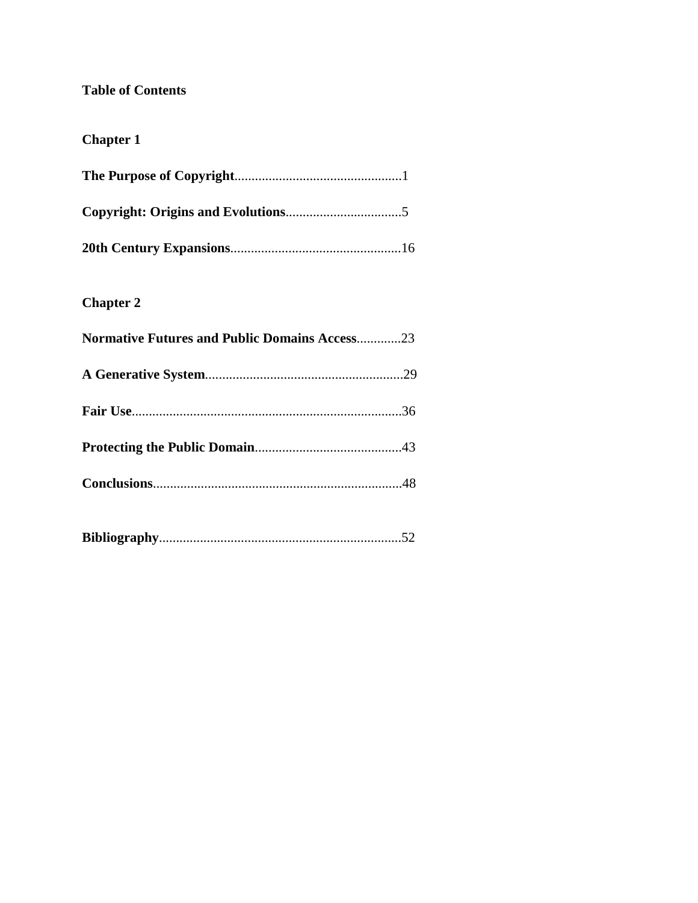### **Table of Contents**

# **Chapter 1**

# **Chapter 2**

| <b>Normative Futures and Public Domains Access23</b> |  |
|------------------------------------------------------|--|
|                                                      |  |
|                                                      |  |
|                                                      |  |
|                                                      |  |
|                                                      |  |

|--|--|--|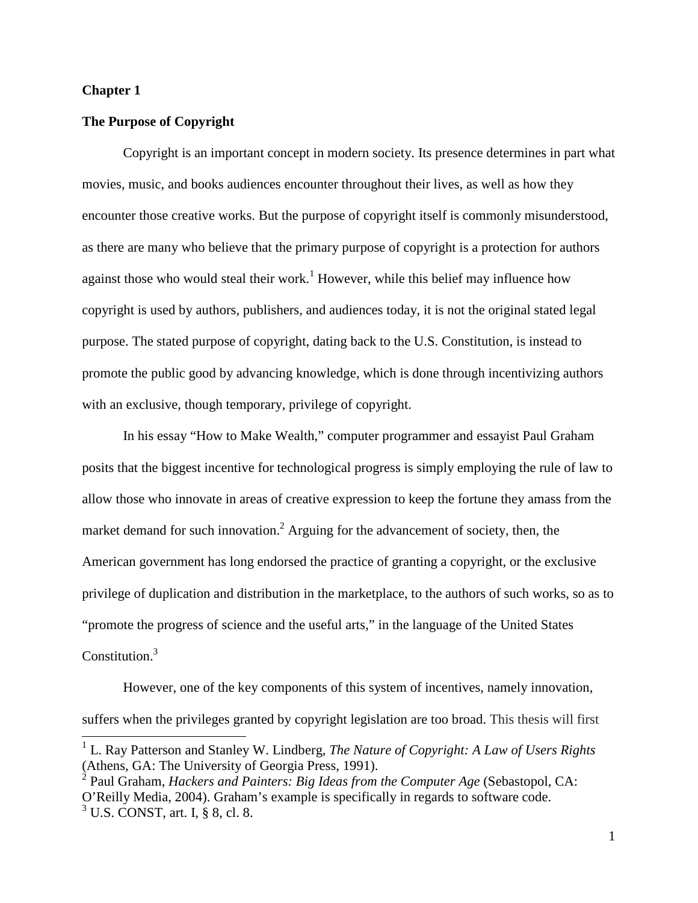#### **Chapter 1**

 $\overline{a}$ 

#### **The Purpose of Copyright**

Copyright is an important concept in modern society. Its presence determines in part what movies, music, and books audiences encounter throughout their lives, as well as how they encounter those creative works. But the purpose of copyright itself is commonly misunderstood, as there are many who believe that the primary purpose of copyright is a protection for authors against those who would steal their work.<sup>1</sup> However, while this belief may influence how copyright is used by authors, publishers, and audiences today, it is not the original stated legal purpose. The stated purpose of copyright, dating back to the U.S. Constitution, is instead to promote the public good by advancing knowledge, which is done through incentivizing authors with an exclusive, though temporary, privilege of copyright.

In his essay "How to Make Wealth," computer programmer and essayist Paul Graham posits that the biggest incentive for technological progress is simply employing the rule of law to allow those who innovate in areas of creative expression to keep the fortune they amass from the market demand for such innovation.<sup>2</sup> Arguing for the advancement of society, then, the American government has long endorsed the practice of granting a copyright, or the exclusive privilege of duplication and distribution in the marketplace, to the authors of such works, so as to "promote the progress of science and the useful arts," in the language of the United States Constitution.<sup>3</sup>

However, one of the key components of this system of incentives, namely innovation, suffers when the privileges granted by copyright legislation are too broad. This thesis will first

<sup>&</sup>lt;sup>1</sup> L. Ray Patterson and Stanley W. Lindberg, *The Nature of Copyright: A Law of Users Rights* (Athens, GA: The University of Georgia Press, 1991).

<sup>2</sup> Paul Graham, *Hackers and Painters: Big Ideas from the Computer Age* (Sebastopol, CA: O'Reilly Media, 2004). Graham's example is specifically in regards to software code. <sup>3</sup> U.S. CONST, art. I, § 8, cl. 8.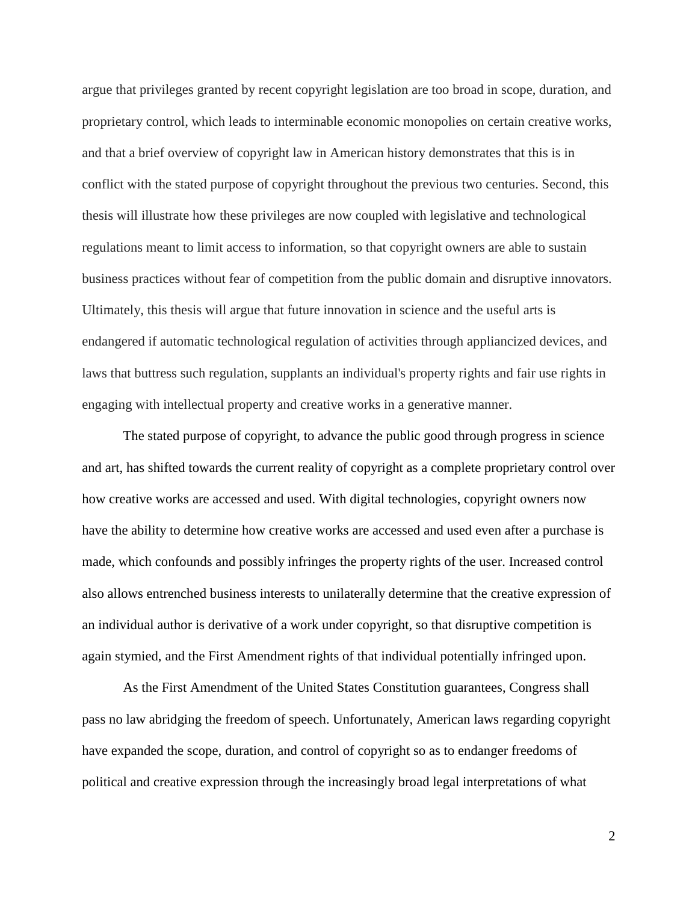argue that privileges granted by recent copyright legislation are too broad in scope, duration, and proprietary control, which leads to interminable economic monopolies on certain creative works, and that a brief overview of copyright law in American history demonstrates that this is in conflict with the stated purpose of copyright throughout the previous two centuries. Second, this thesis will illustrate how these privileges are now coupled with legislative and technological regulations meant to limit access to information, so that copyright owners are able to sustain business practices without fear of competition from the public domain and disruptive innovators. Ultimately, this thesis will argue that future innovation in science and the useful arts is endangered if automatic technological regulation of activities through appliancized devices, and laws that buttress such regulation, supplants an individual's property rights and fair use rights in engaging with intellectual property and creative works in a generative manner.

The stated purpose of copyright, to advance the public good through progress in science and art, has shifted towards the current reality of copyright as a complete proprietary control over how creative works are accessed and used. With digital technologies, copyright owners now have the ability to determine how creative works are accessed and used even after a purchase is made, which confounds and possibly infringes the property rights of the user. Increased control also allows entrenched business interests to unilaterally determine that the creative expression of an individual author is derivative of a work under copyright, so that disruptive competition is again stymied, and the First Amendment rights of that individual potentially infringed upon.

As the First Amendment of the United States Constitution guarantees, Congress shall pass no law abridging the freedom of speech. Unfortunately, American laws regarding copyright have expanded the scope, duration, and control of copyright so as to endanger freedoms of political and creative expression through the increasingly broad legal interpretations of what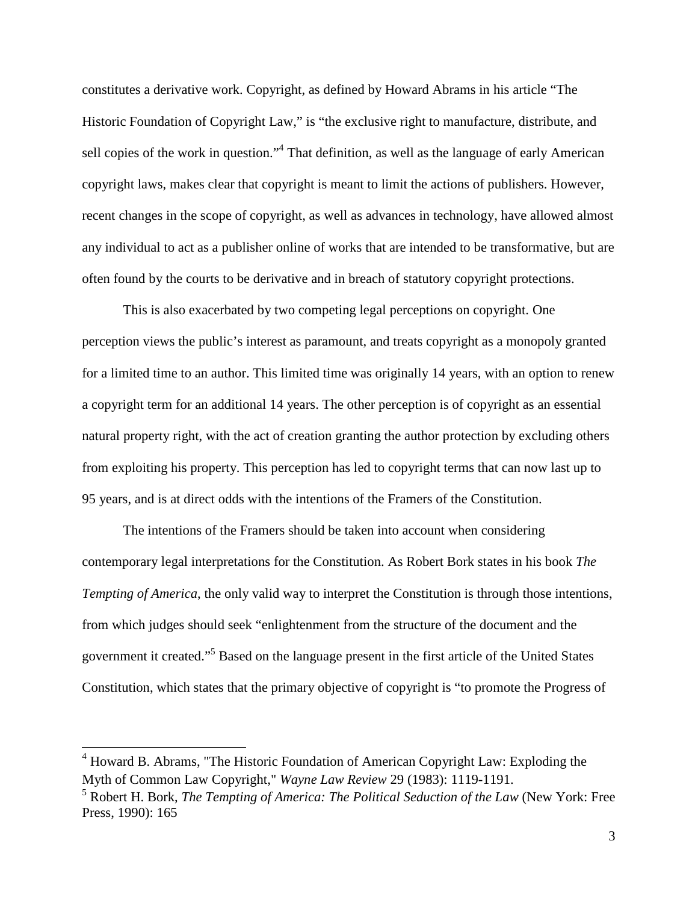constitutes a derivative work. Copyright, as defined by Howard Abrams in his article "The Historic Foundation of Copyright Law," is "the exclusive right to manufacture, distribute, and sell copies of the work in question."<sup>4</sup> That definition, as well as the language of early American copyright laws, makes clear that copyright is meant to limit the actions of publishers. However, recent changes in the scope of copyright, as well as advances in technology, have allowed almost any individual to act as a publisher online of works that are intended to be transformative, but are often found by the courts to be derivative and in breach of statutory copyright protections.

This is also exacerbated by two competing legal perceptions on copyright. One perception views the public's interest as paramount, and treats copyright as a monopoly granted for a limited time to an author. This limited time was originally 14 years, with an option to renew a copyright term for an additional 14 years. The other perception is of copyright as an essential natural property right, with the act of creation granting the author protection by excluding others from exploiting his property. This perception has led to copyright terms that can now last up to 95 years, and is at direct odds with the intentions of the Framers of the Constitution.

The intentions of the Framers should be taken into account when considering contemporary legal interpretations for the Constitution. As Robert Bork states in his book *The Tempting of America*, the only valid way to interpret the Constitution is through those intentions, from which judges should seek "enlightenment from the structure of the document and the government it created."<sup>5</sup> Based on the language present in the first article of the United States Constitution, which states that the primary objective of copyright is "to promote the Progress of

<sup>&</sup>lt;sup>4</sup> Howard B. Abrams, "The Historic Foundation of American Copyright Law: Exploding the Myth of Common Law Copyright," *Wayne Law Review* 29 (1983): 1119-1191.

<sup>5</sup> Robert H. Bork, *The Tempting of America: The Political Seduction of the Law* (New York: Free Press, 1990): 165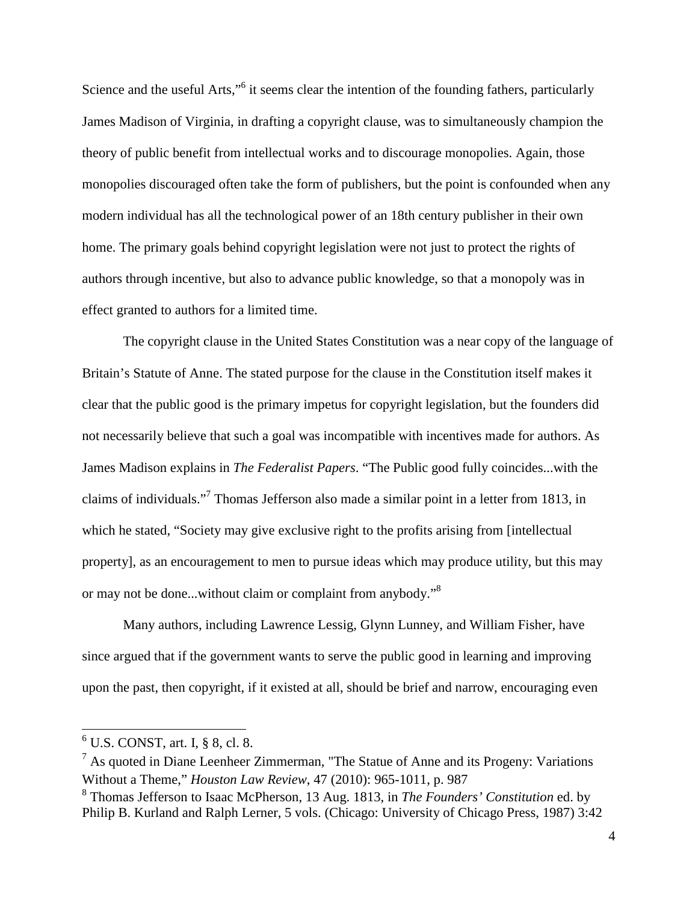Science and the useful Arts,"<sup>6</sup> it seems clear the intention of the founding fathers, particularly James Madison of Virginia, in drafting a copyright clause, was to simultaneously champion the theory of public benefit from intellectual works and to discourage monopolies. Again, those monopolies discouraged often take the form of publishers, but the point is confounded when any modern individual has all the technological power of an 18th century publisher in their own home. The primary goals behind copyright legislation were not just to protect the rights of authors through incentive, but also to advance public knowledge, so that a monopoly was in effect granted to authors for a limited time.

The copyright clause in the United States Constitution was a near copy of the language of Britain's Statute of Anne. The stated purpose for the clause in the Constitution itself makes it clear that the public good is the primary impetus for copyright legislation, but the founders did not necessarily believe that such a goal was incompatible with incentives made for authors. As James Madison explains in *The Federalist Papers*. "The Public good fully coincides...with the claims of individuals."<sup>7</sup> Thomas Jefferson also made a similar point in a letter from 1813, in which he stated, "Society may give exclusive right to the profits arising from [intellectual property], as an encouragement to men to pursue ideas which may produce utility, but this may or may not be done...without claim or complaint from anybody."<sup>8</sup>

Many authors, including Lawrence Lessig, Glynn Lunney, and William Fisher, have since argued that if the government wants to serve the public good in learning and improving upon the past, then copyright, if it existed at all, should be brief and narrow, encouraging even

 $<sup>6</sup>$  U.S. CONST, art. I, § 8, cl. 8.</sup>

 $<sup>7</sup>$  As quoted in Diane Leenheer Zimmerman, "The Statue of Anne and its Progeny: Variations</sup> Without a Theme," *Houston Law Review*, 47 (2010): 965-1011, p. 987

<sup>8</sup> Thomas Jefferson to Isaac McPherson, 13 Aug. 1813, in *The Founders' Constitution* ed. by Philip B. Kurland and Ralph Lerner, 5 vols. (Chicago: University of Chicago Press, 1987) 3:42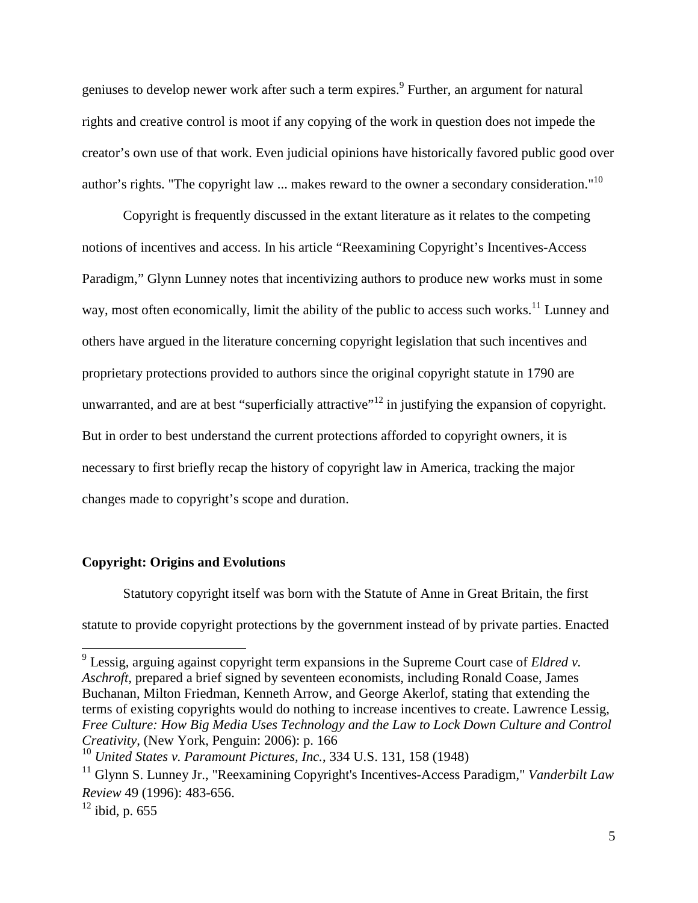geniuses to develop newer work after such a term expires.<sup>9</sup> Further, an argument for natural rights and creative control is moot if any copying of the work in question does not impede the creator's own use of that work. Even judicial opinions have historically favored public good over author's rights. "The copyright law ... makes reward to the owner a secondary consideration."<sup>10</sup>

Copyright is frequently discussed in the extant literature as it relates to the competing notions of incentives and access. In his article "Reexamining Copyright's Incentives-Access Paradigm," Glynn Lunney notes that incentivizing authors to produce new works must in some way, most often economically, limit the ability of the public to access such works.<sup>11</sup> Lunney and others have argued in the literature concerning copyright legislation that such incentives and proprietary protections provided to authors since the original copyright statute in 1790 are unwarranted, and are at best "superficially attractive"<sup>12</sup> in justifying the expansion of copyright. But in order to best understand the current protections afforded to copyright owners, it is necessary to first briefly recap the history of copyright law in America, tracking the major changes made to copyright's scope and duration.

#### **Copyright: Origins and Evolutions**

Statutory copyright itself was born with the Statute of Anne in Great Britain, the first statute to provide copyright protections by the government instead of by private parties. Enacted

 9 Lessig, arguing against copyright term expansions in the Supreme Court case of *Eldred v. Aschroft,* prepared a brief signed by seventeen economists, including Ronald Coase, James Buchanan, Milton Friedman, Kenneth Arrow, and George Akerlof, stating that extending the terms of existing copyrights would do nothing to increase incentives to create. Lawrence Lessig, *Free Culture: How Big Media Uses Technology and the Law to Lock Down Culture and Control Creativity*, (New York, Penguin: 2006): p. 166

<sup>10</sup> *United States v. Paramount Pictures, Inc.*, 334 U.S. 131, 158 (1948)

<sup>11</sup> Glynn S. Lunney Jr., "Reexamining Copyright's Incentives-Access Paradigm," *Vanderbilt Law Review* 49 (1996): 483-656.

 $12$  ibid, p. 655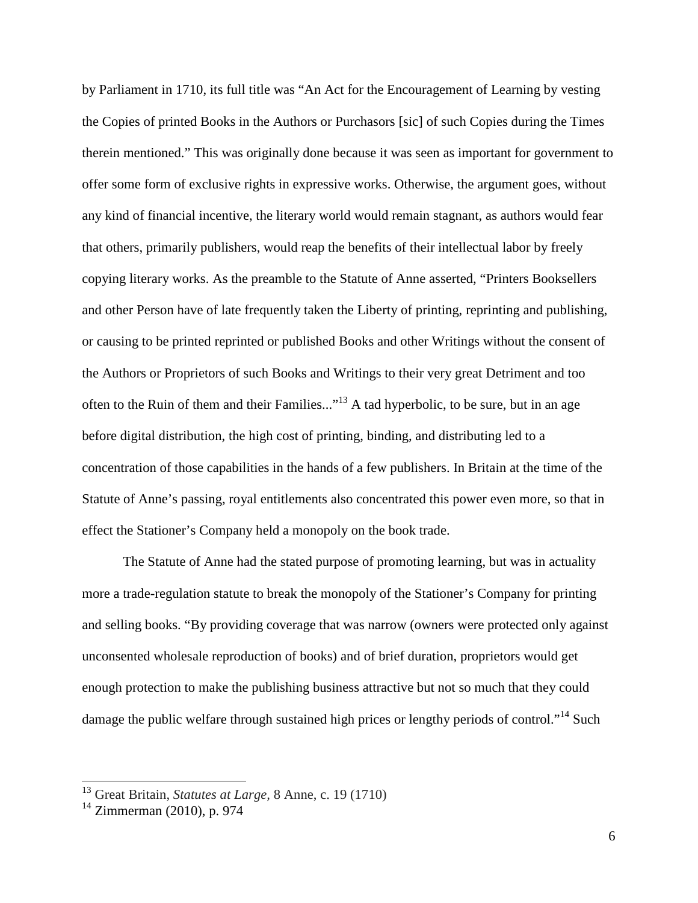by Parliament in 1710, its full title was "An Act for the Encouragement of Learning by vesting the Copies of printed Books in the Authors or Purchasors [sic] of such Copies during the Times therein mentioned." This was originally done because it was seen as important for government to offer some form of exclusive rights in expressive works. Otherwise, the argument goes, without any kind of financial incentive, the literary world would remain stagnant, as authors would fear that others, primarily publishers, would reap the benefits of their intellectual labor by freely copying literary works. As the preamble to the Statute of Anne asserted, "Printers Booksellers and other Person have of late frequently taken the Liberty of printing, reprinting and publishing, or causing to be printed reprinted or published Books and other Writings without the consent of the Authors or Proprietors of such Books and Writings to their very great Detriment and too often to the Ruin of them and their Families..."<sup>13</sup> A tad hyperbolic, to be sure, but in an age before digital distribution, the high cost of printing, binding, and distributing led to a concentration of those capabilities in the hands of a few publishers. In Britain at the time of the Statute of Anne's passing, royal entitlements also concentrated this power even more, so that in effect the Stationer's Company held a monopoly on the book trade.

The Statute of Anne had the stated purpose of promoting learning, but was in actuality more a trade-regulation statute to break the monopoly of the Stationer's Company for printing and selling books. "By providing coverage that was narrow (owners were protected only against unconsented wholesale reproduction of books) and of brief duration, proprietors would get enough protection to make the publishing business attractive but not so much that they could damage the public welfare through sustained high prices or lengthy periods of control."<sup>14</sup> Such

<sup>13</sup> Great Britain, *Statutes at Large,* 8 Anne, c. 19 (1710)

 $14$  Zimmerman (2010), p. 974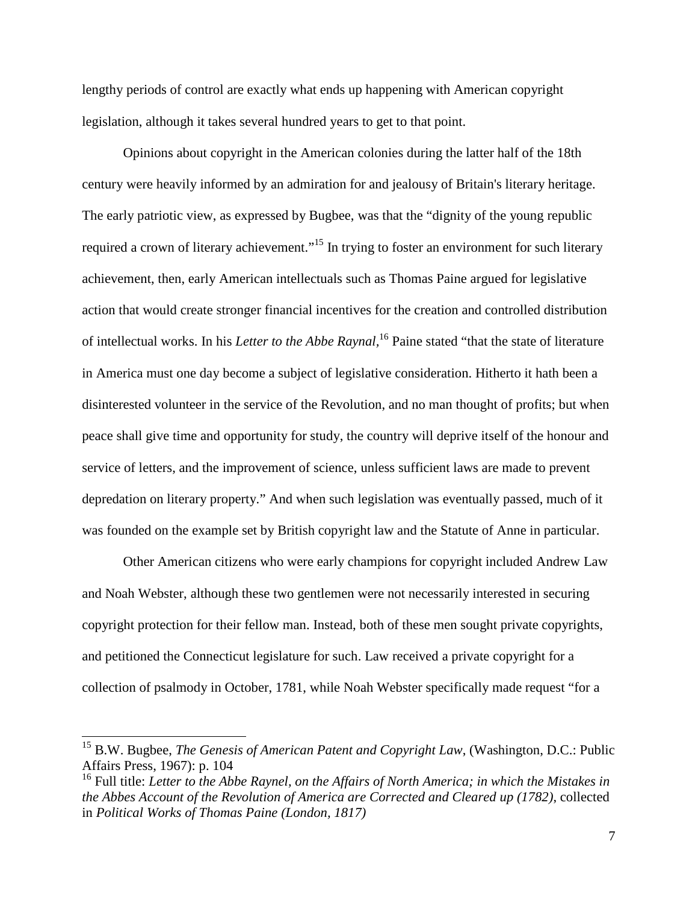lengthy periods of control are exactly what ends up happening with American copyright legislation, although it takes several hundred years to get to that point.

Opinions about copyright in the American colonies during the latter half of the 18th century were heavily informed by an admiration for and jealousy of Britain's literary heritage. The early patriotic view, as expressed by Bugbee, was that the "dignity of the young republic required a crown of literary achievement."<sup>15</sup> In trying to foster an environment for such literary achievement, then, early American intellectuals such as Thomas Paine argued for legislative action that would create stronger financial incentives for the creation and controlled distribution of intellectual works. In his *Letter to the Abbe Raynal,*<sup>16</sup> Paine stated "that the state of literature in America must one day become a subject of legislative consideration. Hitherto it hath been a disinterested volunteer in the service of the Revolution, and no man thought of profits; but when peace shall give time and opportunity for study, the country will deprive itself of the honour and service of letters, and the improvement of science, unless sufficient laws are made to prevent depredation on literary property." And when such legislation was eventually passed, much of it was founded on the example set by British copyright law and the Statute of Anne in particular.

Other American citizens who were early champions for copyright included Andrew Law and Noah Webster, although these two gentlemen were not necessarily interested in securing copyright protection for their fellow man. Instead, both of these men sought private copyrights, and petitioned the Connecticut legislature for such. Law received a private copyright for a collection of psalmody in October, 1781, while Noah Webster specifically made request "for a

<sup>&</sup>lt;sup>15</sup> B.W. Bugbee, *The Genesis of American Patent and Copyright Law*, (Washington, D.C.: Public Affairs Press, 1967): p. 104

<sup>16</sup> Full title: *Letter to the Abbe Raynel, on the Affairs of North America; in which the Mistakes in the Abbes Account of the Revolution of America are Corrected and Cleared up (1782)*, collected in *Political Works of Thomas Paine (London, 1817)*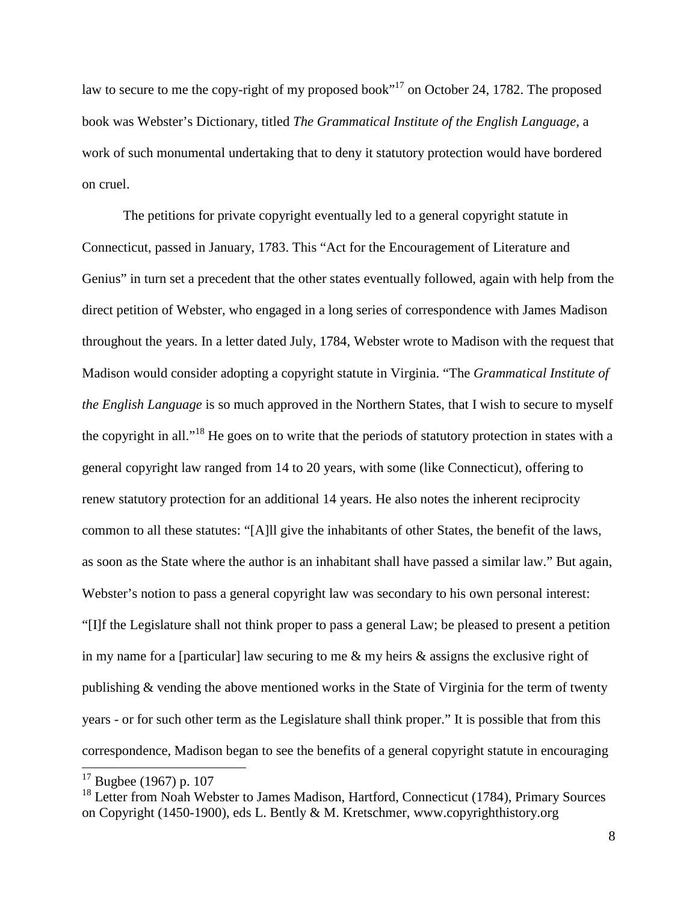law to secure to me the copy-right of my proposed book"<sup>17</sup> on October 24, 1782. The proposed book was Webster's Dictionary, titled *The Grammatical Institute of the English Language*, a work of such monumental undertaking that to deny it statutory protection would have bordered on cruel.

The petitions for private copyright eventually led to a general copyright statute in Connecticut, passed in January, 1783. This "Act for the Encouragement of Literature and Genius" in turn set a precedent that the other states eventually followed, again with help from the direct petition of Webster, who engaged in a long series of correspondence with James Madison throughout the years. In a letter dated July, 1784, Webster wrote to Madison with the request that Madison would consider adopting a copyright statute in Virginia. "The *Grammatical Institute of the English Language* is so much approved in the Northern States, that I wish to secure to myself the copyright in all."<sup>18</sup> He goes on to write that the periods of statutory protection in states with a general copyright law ranged from 14 to 20 years, with some (like Connecticut), offering to renew statutory protection for an additional 14 years. He also notes the inherent reciprocity common to all these statutes: "[A]ll give the inhabitants of other States, the benefit of the laws, as soon as the State where the author is an inhabitant shall have passed a similar law." But again, Webster's notion to pass a general copyright law was secondary to his own personal interest: "[I]f the Legislature shall not think proper to pass a general Law; be pleased to present a petition in my name for a [particular] law securing to me & my heirs & assigns the exclusive right of publishing & vending the above mentioned works in the State of Virginia for the term of twenty years - or for such other term as the Legislature shall think proper." It is possible that from this correspondence, Madison began to see the benefits of a general copyright statute in encouraging

 $17$  Bugbee (1967) p. 107

<sup>&</sup>lt;sup>18</sup> Letter from Noah Webster to James Madison, Hartford, Connecticut (1784), Primary Sources on Copyright (1450-1900), eds L. Bently & M. Kretschmer, www.copyrighthistory.org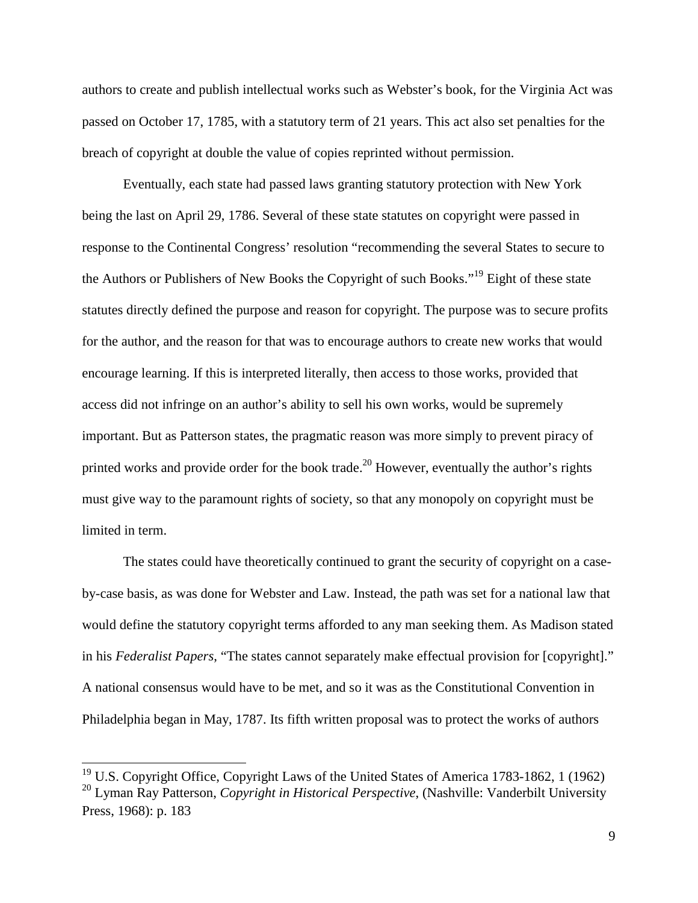authors to create and publish intellectual works such as Webster's book, for the Virginia Act was passed on October 17, 1785, with a statutory term of 21 years. This act also set penalties for the breach of copyright at double the value of copies reprinted without permission.

Eventually, each state had passed laws granting statutory protection with New York being the last on April 29, 1786. Several of these state statutes on copyright were passed in response to the Continental Congress' resolution "recommending the several States to secure to the Authors or Publishers of New Books the Copyright of such Books."<sup>19</sup> Eight of these state statutes directly defined the purpose and reason for copyright. The purpose was to secure profits for the author, and the reason for that was to encourage authors to create new works that would encourage learning. If this is interpreted literally, then access to those works, provided that access did not infringe on an author's ability to sell his own works, would be supremely important. But as Patterson states, the pragmatic reason was more simply to prevent piracy of printed works and provide order for the book trade.<sup>20</sup> However, eventually the author's rights must give way to the paramount rights of society, so that any monopoly on copyright must be limited in term.

The states could have theoretically continued to grant the security of copyright on a caseby-case basis, as was done for Webster and Law. Instead, the path was set for a national law that would define the statutory copyright terms afforded to any man seeking them. As Madison stated in his *Federalist Papers*, "The states cannot separately make effectual provision for [copyright]." A national consensus would have to be met, and so it was as the Constitutional Convention in Philadelphia began in May, 1787. Its fifth written proposal was to protect the works of authors

 $19$  U.S. Copyright Office, Copyright Laws of the United States of America 1783-1862, 1 (1962) <sup>20</sup> Lyman Ray Patterson, *Copyright in Historical Perspective*, (Nashville: Vanderbilt University Press, 1968): p. 183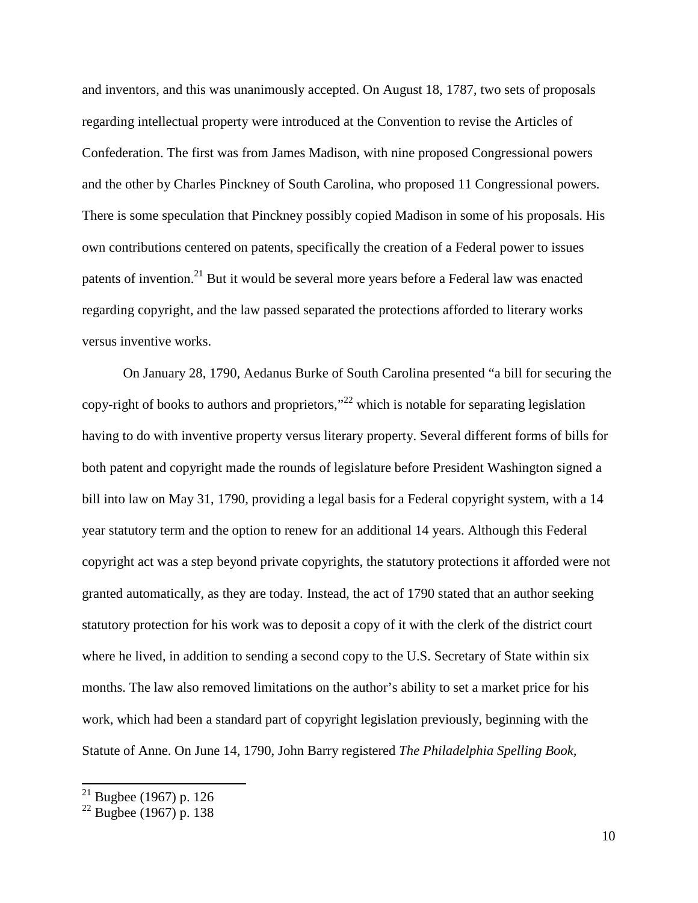and inventors, and this was unanimously accepted. On August 18, 1787, two sets of proposals regarding intellectual property were introduced at the Convention to revise the Articles of Confederation. The first was from James Madison, with nine proposed Congressional powers and the other by Charles Pinckney of South Carolina, who proposed 11 Congressional powers. There is some speculation that Pinckney possibly copied Madison in some of his proposals. His own contributions centered on patents, specifically the creation of a Federal power to issues patents of invention.<sup>21</sup> But it would be several more years before a Federal law was enacted regarding copyright, and the law passed separated the protections afforded to literary works versus inventive works.

On January 28, 1790, Aedanus Burke of South Carolina presented "a bill for securing the copy-right of books to authors and proprietors,"<sup>22</sup> which is notable for separating legislation having to do with inventive property versus literary property. Several different forms of bills for both patent and copyright made the rounds of legislature before President Washington signed a bill into law on May 31, 1790, providing a legal basis for a Federal copyright system, with a 14 year statutory term and the option to renew for an additional 14 years. Although this Federal copyright act was a step beyond private copyrights, the statutory protections it afforded were not granted automatically, as they are today. Instead, the act of 1790 stated that an author seeking statutory protection for his work was to deposit a copy of it with the clerk of the district court where he lived, in addition to sending a second copy to the U.S. Secretary of State within six months. The law also removed limitations on the author's ability to set a market price for his work, which had been a standard part of copyright legislation previously, beginning with the Statute of Anne. On June 14, 1790, John Barry registered *The Philadelphia Spelling Book,* 

 $21$  Bugbee (1967) p. 126

 $22$  Bugbee (1967) p. 138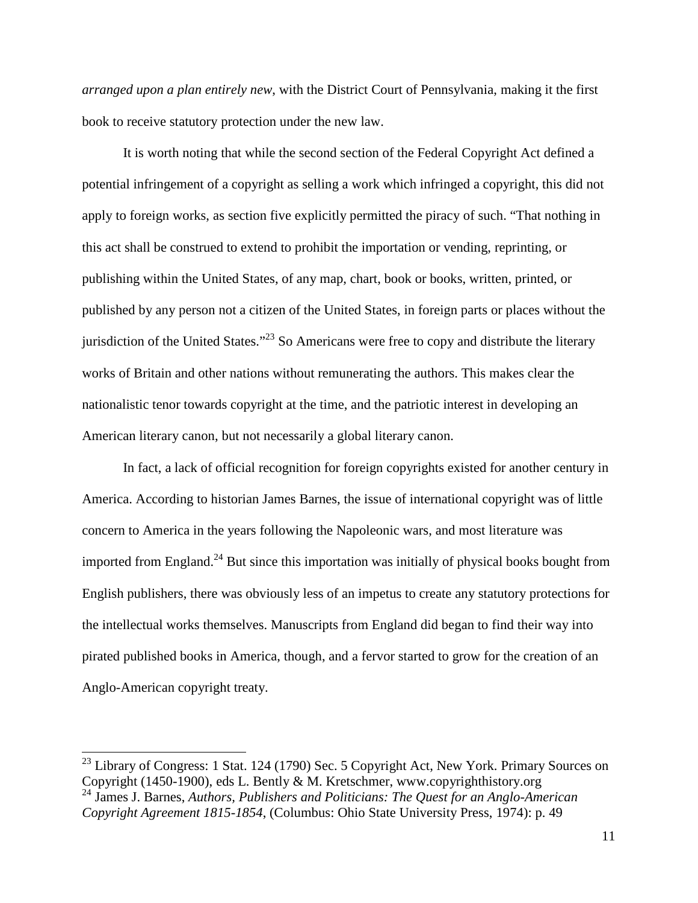*arranged upon a plan entirely new*, with the District Court of Pennsylvania, making it the first book to receive statutory protection under the new law.

It is worth noting that while the second section of the Federal Copyright Act defined a potential infringement of a copyright as selling a work which infringed a copyright, this did not apply to foreign works, as section five explicitly permitted the piracy of such. "That nothing in this act shall be construed to extend to prohibit the importation or vending, reprinting, or publishing within the United States, of any map, chart, book or books, written, printed, or published by any person not a citizen of the United States, in foreign parts or places without the jurisdiction of the United States."<sup>23</sup> So Americans were free to copy and distribute the literary works of Britain and other nations without remunerating the authors. This makes clear the nationalistic tenor towards copyright at the time, and the patriotic interest in developing an American literary canon, but not necessarily a global literary canon.

In fact, a lack of official recognition for foreign copyrights existed for another century in America. According to historian James Barnes, the issue of international copyright was of little concern to America in the years following the Napoleonic wars, and most literature was imported from England.<sup>24</sup> But since this importation was initially of physical books bought from English publishers, there was obviously less of an impetus to create any statutory protections for the intellectual works themselves. Manuscripts from England did began to find their way into pirated published books in America, though, and a fervor started to grow for the creation of an Anglo-American copyright treaty.

 $^{23}$  Library of Congress: 1 Stat. 124 (1790) Sec. 5 Copyright Act, New York. Primary Sources on Copyright (1450-1900), eds L. Bently & M. Kretschmer, www.copyrighthistory.org

<sup>24</sup> James J. Barnes, *Authors, Publishers and Politicians: The Quest for an Anglo-American Copyright Agreement 1815-1854*, (Columbus: Ohio State University Press, 1974): p. 49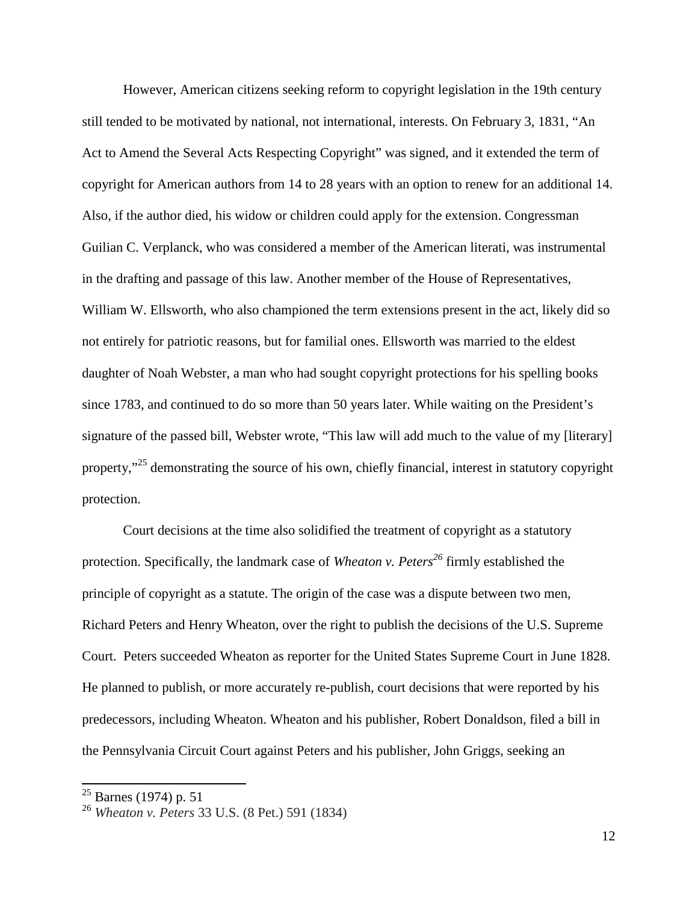However, American citizens seeking reform to copyright legislation in the 19th century still tended to be motivated by national, not international, interests. On February 3, 1831, "An Act to Amend the Several Acts Respecting Copyright" was signed, and it extended the term of copyright for American authors from 14 to 28 years with an option to renew for an additional 14. Also, if the author died, his widow or children could apply for the extension. Congressman Guilian C. Verplanck, who was considered a member of the American literati, was instrumental in the drafting and passage of this law. Another member of the House of Representatives, William W. Ellsworth, who also championed the term extensions present in the act, likely did so not entirely for patriotic reasons, but for familial ones. Ellsworth was married to the eldest daughter of Noah Webster, a man who had sought copyright protections for his spelling books since 1783, and continued to do so more than 50 years later. While waiting on the President's signature of the passed bill, Webster wrote, "This law will add much to the value of my [literary] property,"<sup>25</sup> demonstrating the source of his own, chiefly financial, interest in statutory copyright protection.

Court decisions at the time also solidified the treatment of copyright as a statutory protection. Specifically, the landmark case of *Wheaton v. Peters<sup>26</sup>* firmly established the principle of copyright as a statute. The origin of the case was a dispute between two men, Richard Peters and Henry Wheaton, over the right to publish the decisions of the U.S. Supreme Court. Peters succeeded Wheaton as reporter for the United States Supreme Court in June 1828. He planned to publish, or more accurately re-publish, court decisions that were reported by his predecessors, including Wheaton. Wheaton and his publisher, Robert Donaldson, filed a bill in the Pennsylvania Circuit Court against Peters and his publisher, John Griggs, seeking an

 $25$  Barnes (1974) p. 51

<sup>26</sup> *Wheaton v. Peters* 33 U.S. (8 Pet.) 591 (1834)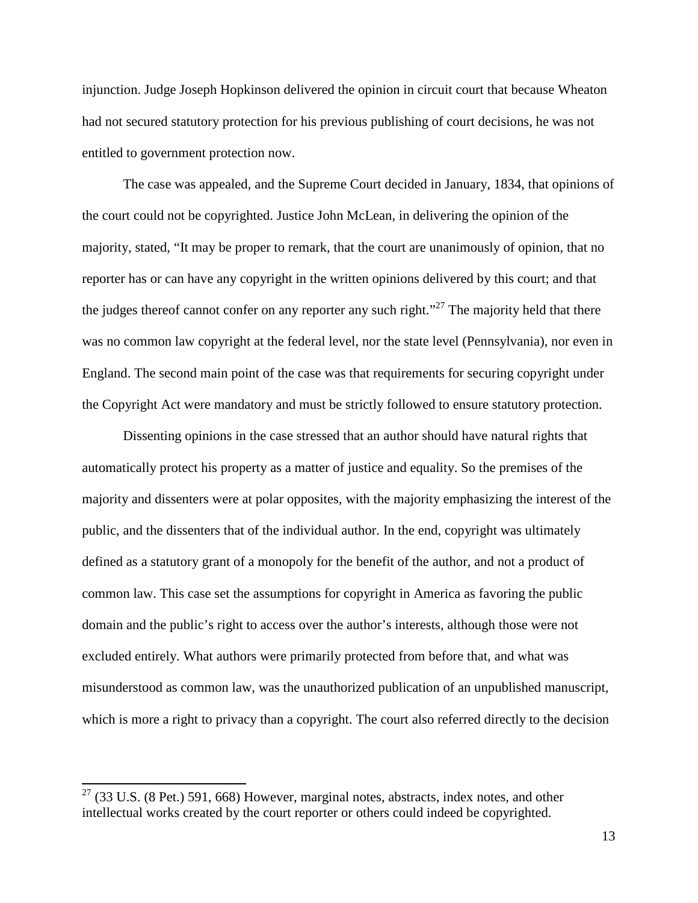injunction. Judge Joseph Hopkinson delivered the opinion in circuit court that because Wheaton had not secured statutory protection for his previous publishing of court decisions, he was not entitled to government protection now.

The case was appealed, and the Supreme Court decided in January, 1834, that opinions of the court could not be copyrighted. Justice John McLean, in delivering the opinion of the majority, stated, "It may be proper to remark, that the court are unanimously of opinion, that no reporter has or can have any copyright in the written opinions delivered by this court; and that the judges thereof cannot confer on any reporter any such right.<sup> $27$ </sup> The majority held that there was no common law copyright at the federal level, nor the state level (Pennsylvania), nor even in England. The second main point of the case was that requirements for securing copyright under the Copyright Act were mandatory and must be strictly followed to ensure statutory protection.

Dissenting opinions in the case stressed that an author should have natural rights that automatically protect his property as a matter of justice and equality. So the premises of the majority and dissenters were at polar opposites, with the majority emphasizing the interest of the public, and the dissenters that of the individual author. In the end, copyright was ultimately defined as a statutory grant of a monopoly for the benefit of the author, and not a product of common law. This case set the assumptions for copyright in America as favoring the public domain and the public's right to access over the author's interests, although those were not excluded entirely. What authors were primarily protected from before that, and what was misunderstood as common law, was the unauthorized publication of an unpublished manuscript, which is more a right to privacy than a copyright. The court also referred directly to the decision

 $27$  (33 U.S. (8 Pet.) 591, 668) However, marginal notes, abstracts, index notes, and other intellectual works created by the court reporter or others could indeed be copyrighted.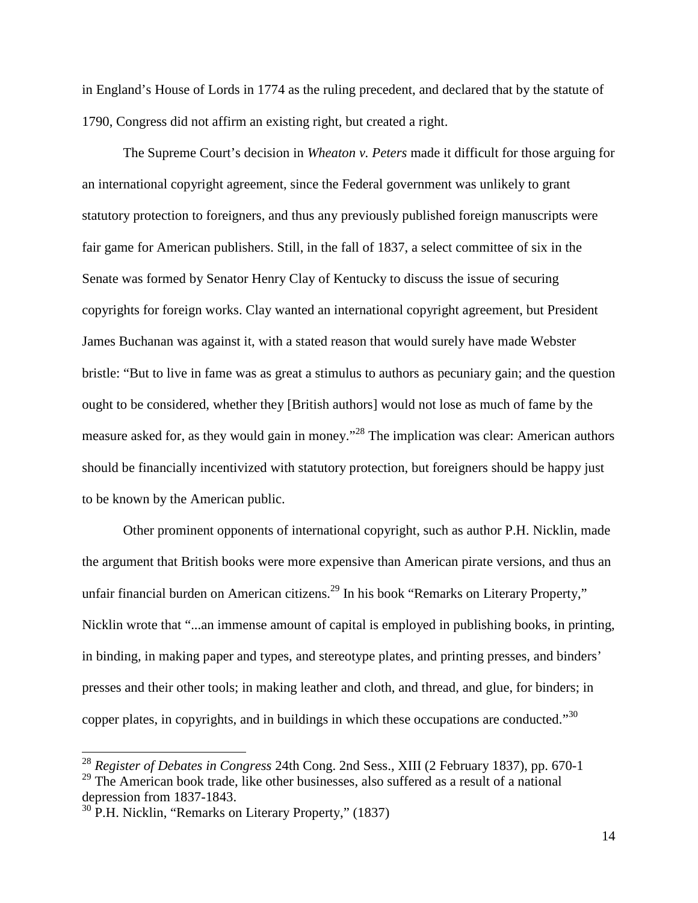in England's House of Lords in 1774 as the ruling precedent, and declared that by the statute of 1790, Congress did not affirm an existing right, but created a right.

The Supreme Court's decision in *Wheaton v. Peters* made it difficult for those arguing for an international copyright agreement, since the Federal government was unlikely to grant statutory protection to foreigners, and thus any previously published foreign manuscripts were fair game for American publishers. Still, in the fall of 1837, a select committee of six in the Senate was formed by Senator Henry Clay of Kentucky to discuss the issue of securing copyrights for foreign works. Clay wanted an international copyright agreement, but President James Buchanan was against it, with a stated reason that would surely have made Webster bristle: "But to live in fame was as great a stimulus to authors as pecuniary gain; and the question ought to be considered, whether they [British authors] would not lose as much of fame by the measure asked for, as they would gain in money.<sup>"28</sup> The implication was clear: American authors should be financially incentivized with statutory protection, but foreigners should be happy just to be known by the American public.

Other prominent opponents of international copyright, such as author P.H. Nicklin, made the argument that British books were more expensive than American pirate versions, and thus an unfair financial burden on American citizens.<sup>29</sup> In his book "Remarks on Literary Property," Nicklin wrote that "...an immense amount of capital is employed in publishing books, in printing, in binding, in making paper and types, and stereotype plates, and printing presses, and binders' presses and their other tools; in making leather and cloth, and thread, and glue, for binders; in copper plates, in copyrights, and in buildings in which these occupations are conducted." $30$ 

<sup>28</sup> *Register of Debates in Congress* 24th Cong. 2nd Sess., XIII (2 February 1837), pp. 670-1 <sup>29</sup> The American book trade, like other businesses, also suffered as a result of a national depression from 1837-1843.

 $30$  P.H. Nicklin, "Remarks on Literary Property," (1837)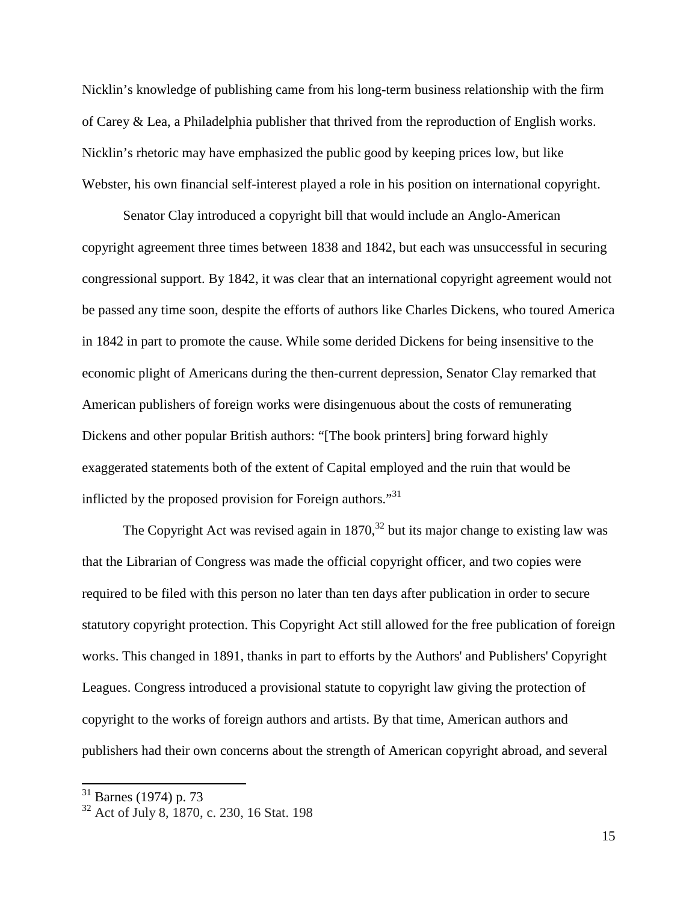Nicklin's knowledge of publishing came from his long-term business relationship with the firm of Carey & Lea, a Philadelphia publisher that thrived from the reproduction of English works. Nicklin's rhetoric may have emphasized the public good by keeping prices low, but like Webster, his own financial self-interest played a role in his position on international copyright.

Senator Clay introduced a copyright bill that would include an Anglo-American copyright agreement three times between 1838 and 1842, but each was unsuccessful in securing congressional support. By 1842, it was clear that an international copyright agreement would not be passed any time soon, despite the efforts of authors like Charles Dickens, who toured America in 1842 in part to promote the cause. While some derided Dickens for being insensitive to the economic plight of Americans during the then-current depression, Senator Clay remarked that American publishers of foreign works were disingenuous about the costs of remunerating Dickens and other popular British authors: "[The book printers] bring forward highly exaggerated statements both of the extent of Capital employed and the ruin that would be inflicted by the proposed provision for Foreign authors."<sup>31</sup>

The Copyright Act was revised again in  $1870$ ,<sup>32</sup> but its major change to existing law was that the Librarian of Congress was made the official copyright officer, and two copies were required to be filed with this person no later than ten days after publication in order to secure statutory copyright protection. This Copyright Act still allowed for the free publication of foreign works. This changed in 1891, thanks in part to efforts by the Authors' and Publishers' Copyright Leagues. Congress introduced a provisional statute to copyright law giving the protection of copyright to the works of foreign authors and artists. By that time, American authors and publishers had their own concerns about the strength of American copyright abroad, and several

 $31$  Barnes (1974) p. 73

<sup>&</sup>lt;sup>32</sup> Act of July 8, 1870, c. 230, 16 Stat. 198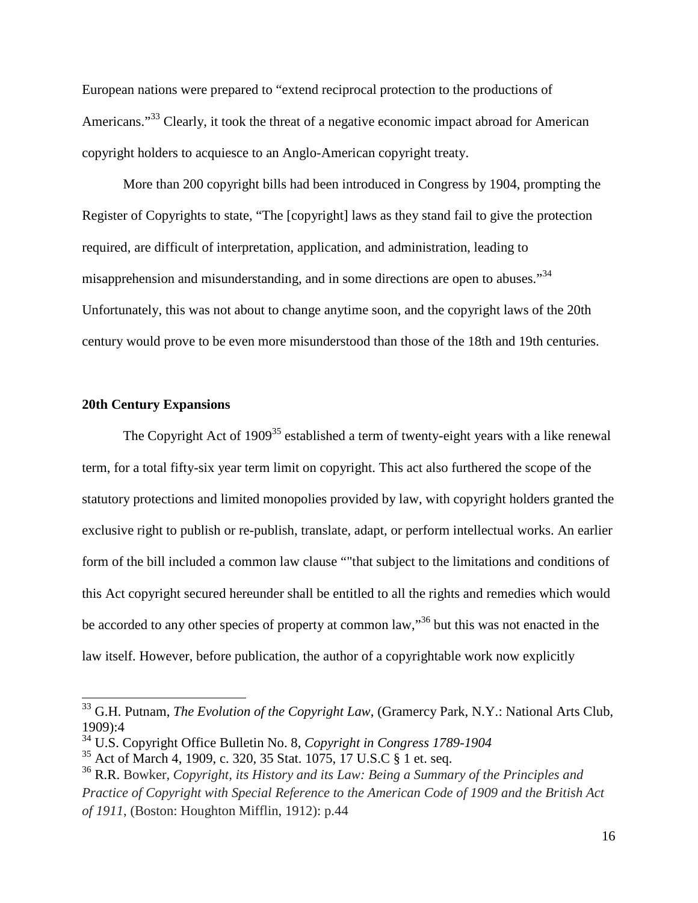European nations were prepared to "extend reciprocal protection to the productions of Americans."<sup>33</sup> Clearly, it took the threat of a negative economic impact abroad for American copyright holders to acquiesce to an Anglo-American copyright treaty.

More than 200 copyright bills had been introduced in Congress by 1904, prompting the Register of Copyrights to state, "The [copyright] laws as they stand fail to give the protection required, are difficult of interpretation, application, and administration, leading to misapprehension and misunderstanding, and in some directions are open to abuses."<sup>34</sup> Unfortunately, this was not about to change anytime soon, and the copyright laws of the 20th century would prove to be even more misunderstood than those of the 18th and 19th centuries.

#### **20th Century Expansions**

The Copyright Act of 1909<sup>35</sup> established a term of twenty-eight years with a like renewal term, for a total fifty-six year term limit on copyright. This act also furthered the scope of the statutory protections and limited monopolies provided by law, with copyright holders granted the exclusive right to publish or re-publish, translate, adapt, or perform intellectual works. An earlier form of the bill included a common law clause ""that subject to the limitations and conditions of this Act copyright secured hereunder shall be entitled to all the rights and remedies which would be accorded to any other species of property at common law,<sup>36</sup> but this was not enacted in the law itself. However, before publication, the author of a copyrightable work now explicitly

<sup>33</sup> G.H. Putnam, *The Evolution of the Copyright Law*, (Gramercy Park, N.Y.: National Arts Club, 1909):4

<sup>34</sup> U.S. Copyright Office Bulletin No. 8, *Copyright in Congress 1789-1904*

<sup>35</sup> Act of March 4, 1909, c. 320, 35 Stat. 1075, 17 U.S.C § 1 et. seq.

<sup>36</sup> R.R. Bowker, *Copyright, its History and its Law: Being a Summary of the Principles and Practice of Copyright with Special Reference to the American Code of 1909 and the British Act of 1911*, (Boston: Houghton Mifflin, 1912): p.44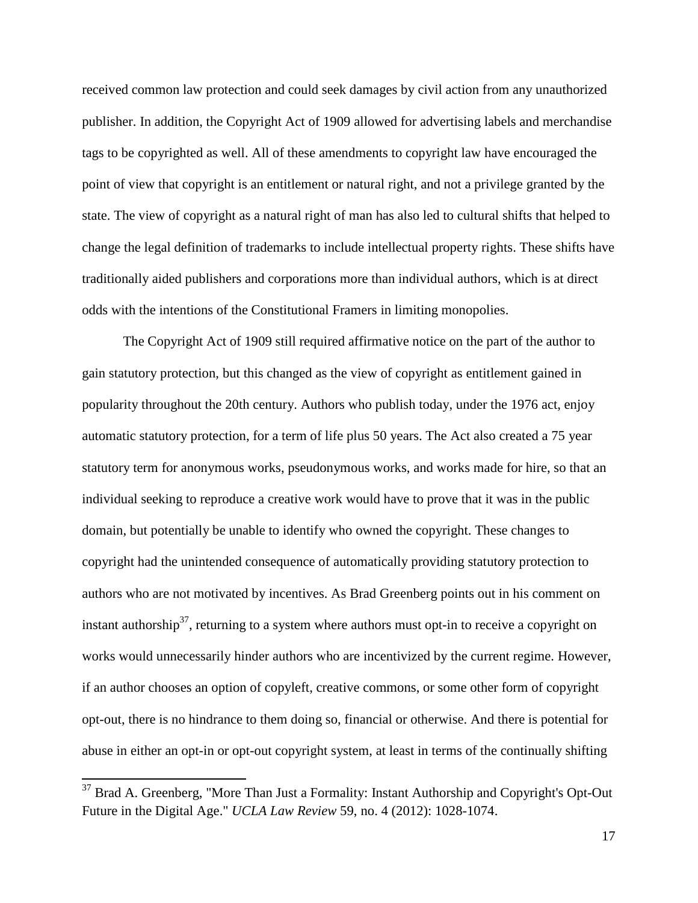received common law protection and could seek damages by civil action from any unauthorized publisher. In addition, the Copyright Act of 1909 allowed for advertising labels and merchandise tags to be copyrighted as well. All of these amendments to copyright law have encouraged the point of view that copyright is an entitlement or natural right, and not a privilege granted by the state. The view of copyright as a natural right of man has also led to cultural shifts that helped to change the legal definition of trademarks to include intellectual property rights. These shifts have traditionally aided publishers and corporations more than individual authors, which is at direct odds with the intentions of the Constitutional Framers in limiting monopolies.

The Copyright Act of 1909 still required affirmative notice on the part of the author to gain statutory protection, but this changed as the view of copyright as entitlement gained in popularity throughout the 20th century. Authors who publish today, under the 1976 act, enjoy automatic statutory protection, for a term of life plus 50 years. The Act also created a 75 year statutory term for anonymous works, pseudonymous works, and works made for hire, so that an individual seeking to reproduce a creative work would have to prove that it was in the public domain, but potentially be unable to identify who owned the copyright. These changes to copyright had the unintended consequence of automatically providing statutory protection to authors who are not motivated by incentives. As Brad Greenberg points out in his comment on instant authorship<sup>37</sup>, returning to a system where authors must opt-in to receive a copyright on works would unnecessarily hinder authors who are incentivized by the current regime. However, if an author chooses an option of copyleft, creative commons, or some other form of copyright opt-out, there is no hindrance to them doing so, financial or otherwise. And there is potential for abuse in either an opt-in or opt-out copyright system, at least in terms of the continually shifting

 $37$  Brad A. Greenberg, "More Than Just a Formality: Instant Authorship and Copyright's Opt-Out Future in the Digital Age." *UCLA Law Review* 59, no. 4 (2012): 1028-1074.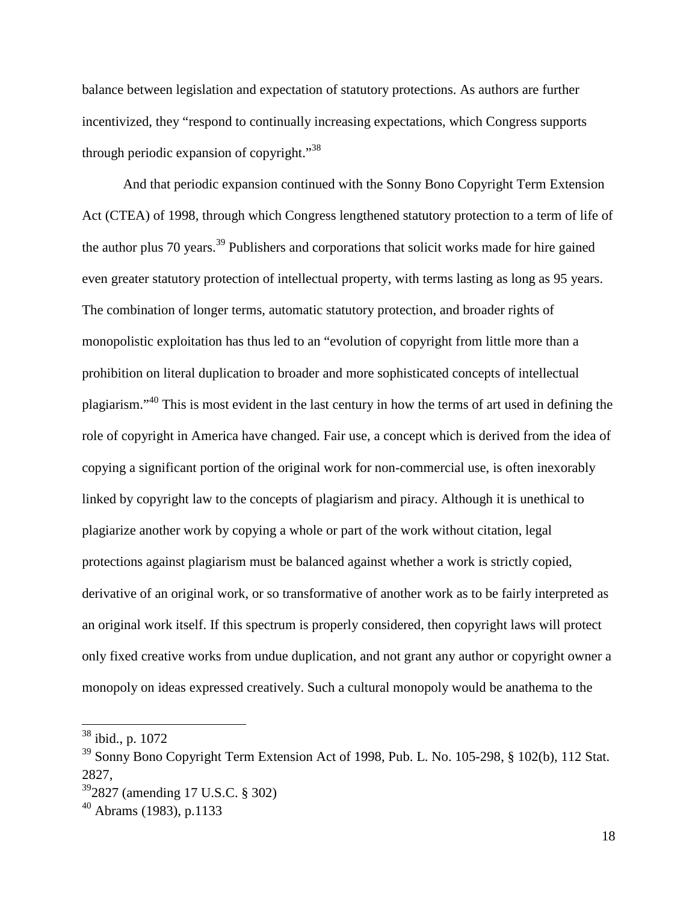balance between legislation and expectation of statutory protections. As authors are further incentivized, they "respond to continually increasing expectations, which Congress supports through periodic expansion of copyright."<sup>38</sup>

And that periodic expansion continued with the Sonny Bono Copyright Term Extension Act (CTEA) of 1998, through which Congress lengthened statutory protection to a term of life of the author plus 70 years.<sup>39</sup> Publishers and corporations that solicit works made for hire gained even greater statutory protection of intellectual property, with terms lasting as long as 95 years. The combination of longer terms, automatic statutory protection, and broader rights of monopolistic exploitation has thus led to an "evolution of copyright from little more than a prohibition on literal duplication to broader and more sophisticated concepts of intellectual plagiarism."<sup>40</sup> This is most evident in the last century in how the terms of art used in defining the role of copyright in America have changed. Fair use, a concept which is derived from the idea of copying a significant portion of the original work for non-commercial use, is often inexorably linked by copyright law to the concepts of plagiarism and piracy. Although it is unethical to plagiarize another work by copying a whole or part of the work without citation, legal protections against plagiarism must be balanced against whether a work is strictly copied, derivative of an original work, or so transformative of another work as to be fairly interpreted as an original work itself. If this spectrum is properly considered, then copyright laws will protect only fixed creative works from undue duplication, and not grant any author or copyright owner a monopoly on ideas expressed creatively. Such a cultural monopoly would be anathema to the

<sup>&</sup>lt;sup>38</sup> ibid., p. 1072

<sup>&</sup>lt;sup>39</sup> Sonny Bono Copyright Term Extension Act of 1998, Pub. L. No. 105-298, § 102(b), 112 Stat. 2827,

<sup>39</sup>2827 (amending 17 U.S.C. § 302)

 $40$  Abrams (1983), p.1133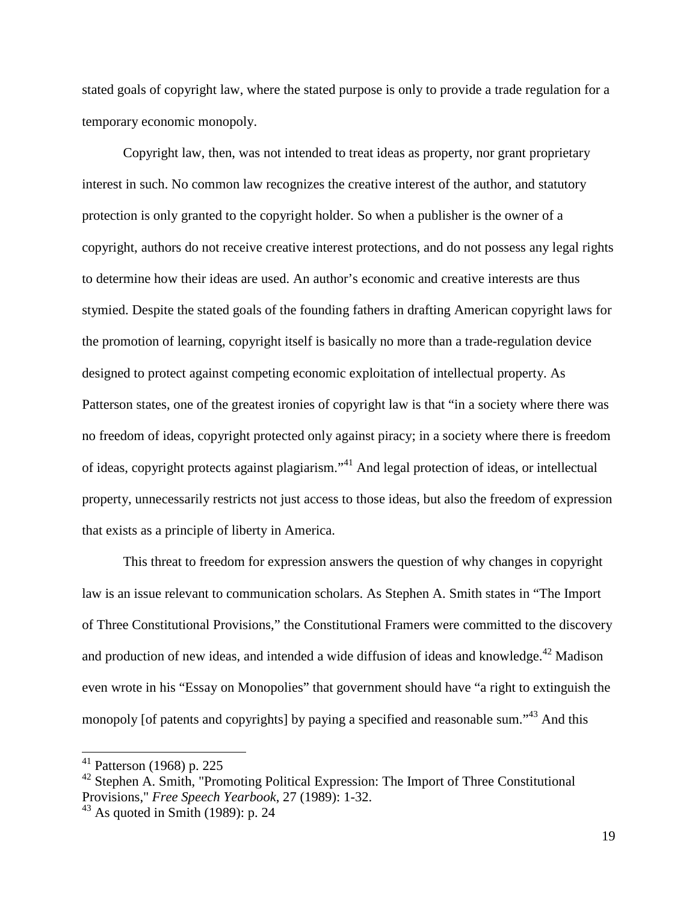stated goals of copyright law, where the stated purpose is only to provide a trade regulation for a temporary economic monopoly.

Copyright law, then, was not intended to treat ideas as property, nor grant proprietary interest in such. No common law recognizes the creative interest of the author, and statutory protection is only granted to the copyright holder. So when a publisher is the owner of a copyright, authors do not receive creative interest protections, and do not possess any legal rights to determine how their ideas are used. An author's economic and creative interests are thus stymied. Despite the stated goals of the founding fathers in drafting American copyright laws for the promotion of learning, copyright itself is basically no more than a trade-regulation device designed to protect against competing economic exploitation of intellectual property. As Patterson states, one of the greatest ironies of copyright law is that "in a society where there was no freedom of ideas, copyright protected only against piracy; in a society where there is freedom of ideas, copyright protects against plagiarism."<sup>41</sup> And legal protection of ideas, or intellectual property, unnecessarily restricts not just access to those ideas, but also the freedom of expression that exists as a principle of liberty in America.

This threat to freedom for expression answers the question of why changes in copyright law is an issue relevant to communication scholars. As Stephen A. Smith states in "The Import of Three Constitutional Provisions," the Constitutional Framers were committed to the discovery and production of new ideas, and intended a wide diffusion of ideas and knowledge.<sup>42</sup> Madison even wrote in his "Essay on Monopolies" that government should have "a right to extinguish the monopoly [of patents and copyrights] by paying a specified and reasonable sum.<sup>43</sup> And this

 $41$  Patterson (1968) p. 225

<sup>&</sup>lt;sup>42</sup> Stephen A. Smith, "Promoting Political Expression: The Import of Three Constitutional Provisions," *Free Speech Yearbook*, 27 (1989): 1-32.

 $43$  As quoted in Smith (1989): p. 24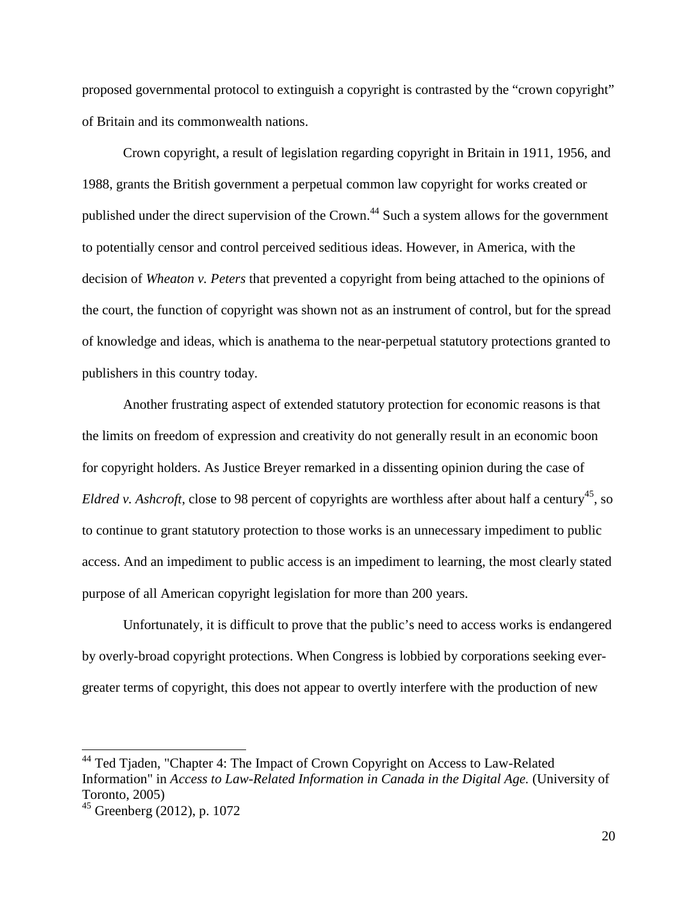proposed governmental protocol to extinguish a copyright is contrasted by the "crown copyright" of Britain and its commonwealth nations.

Crown copyright, a result of legislation regarding copyright in Britain in 1911, 1956, and 1988, grants the British government a perpetual common law copyright for works created or published under the direct supervision of the Crown.<sup>44</sup> Such a system allows for the government to potentially censor and control perceived seditious ideas. However, in America, with the decision of *Wheaton v. Peters* that prevented a copyright from being attached to the opinions of the court, the function of copyright was shown not as an instrument of control, but for the spread of knowledge and ideas, which is anathema to the near-perpetual statutory protections granted to publishers in this country today.

Another frustrating aspect of extended statutory protection for economic reasons is that the limits on freedom of expression and creativity do not generally result in an economic boon for copyright holders. As Justice Breyer remarked in a dissenting opinion during the case of *Eldred v. Ashcroft*, close to 98 percent of copyrights are worthless after about half a century<sup>45</sup>, so to continue to grant statutory protection to those works is an unnecessary impediment to public access. And an impediment to public access is an impediment to learning, the most clearly stated purpose of all American copyright legislation for more than 200 years.

Unfortunately, it is difficult to prove that the public's need to access works is endangered by overly-broad copyright protections. When Congress is lobbied by corporations seeking evergreater terms of copyright, this does not appear to overtly interfere with the production of new

<sup>&</sup>lt;sup>44</sup> Ted Tjaden, "Chapter 4: The Impact of Crown Copyright on Access to Law-Related Information" in *Access to Law-Related Information in Canada in the Digital Age.* (University of Toronto, 2005)

<sup>45</sup> Greenberg (2012), p. 1072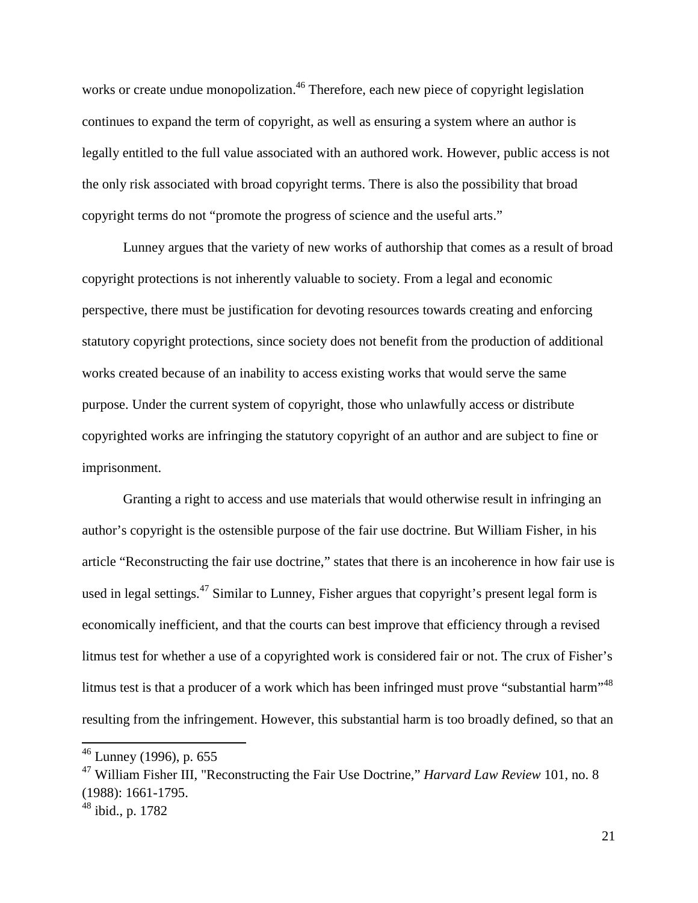works or create undue monopolization.<sup>46</sup> Therefore, each new piece of copyright legislation continues to expand the term of copyright, as well as ensuring a system where an author is legally entitled to the full value associated with an authored work. However, public access is not the only risk associated with broad copyright terms. There is also the possibility that broad copyright terms do not "promote the progress of science and the useful arts."

Lunney argues that the variety of new works of authorship that comes as a result of broad copyright protections is not inherently valuable to society. From a legal and economic perspective, there must be justification for devoting resources towards creating and enforcing statutory copyright protections, since society does not benefit from the production of additional works created because of an inability to access existing works that would serve the same purpose. Under the current system of copyright, those who unlawfully access or distribute copyrighted works are infringing the statutory copyright of an author and are subject to fine or imprisonment.

Granting a right to access and use materials that would otherwise result in infringing an author's copyright is the ostensible purpose of the fair use doctrine. But William Fisher, in his article "Reconstructing the fair use doctrine," states that there is an incoherence in how fair use is used in legal settings.<sup>47</sup> Similar to Lunney, Fisher argues that copyright's present legal form is economically inefficient, and that the courts can best improve that efficiency through a revised litmus test for whether a use of a copyrighted work is considered fair or not. The crux of Fisher's litmus test is that a producer of a work which has been infringed must prove "substantial harm"<sup>48</sup> resulting from the infringement. However, this substantial harm is too broadly defined, so that an

 $46$  Lunney (1996), p. 655

<sup>47</sup> William Fisher III, "Reconstructing the Fair Use Doctrine," *Harvard Law Review* 101, no. 8 (1988): 1661-1795.

 $48$  ibid., p. 1782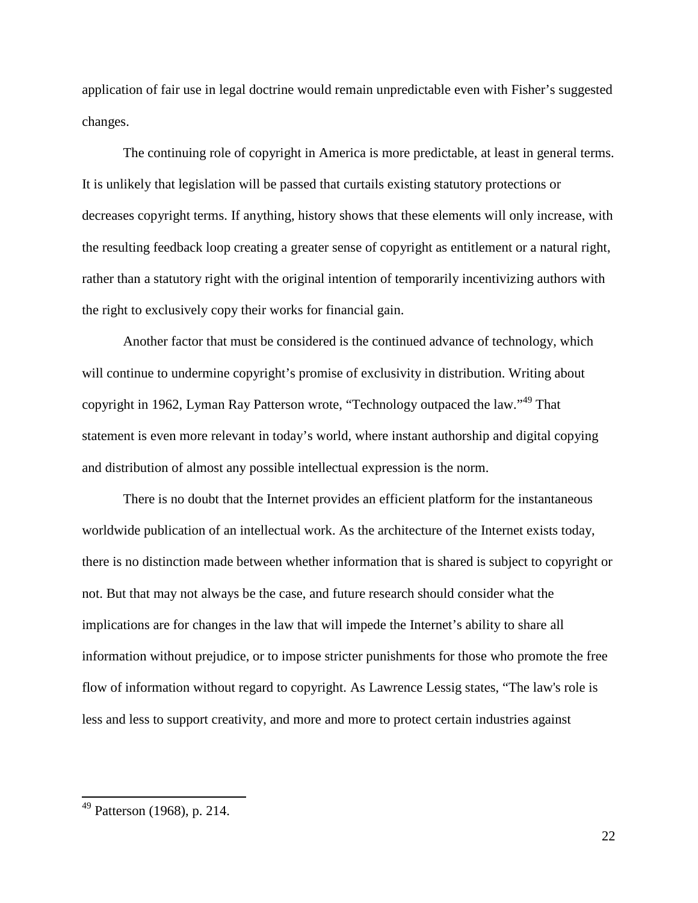application of fair use in legal doctrine would remain unpredictable even with Fisher's suggested changes.

The continuing role of copyright in America is more predictable, at least in general terms. It is unlikely that legislation will be passed that curtails existing statutory protections or decreases copyright terms. If anything, history shows that these elements will only increase, with the resulting feedback loop creating a greater sense of copyright as entitlement or a natural right, rather than a statutory right with the original intention of temporarily incentivizing authors with the right to exclusively copy their works for financial gain.

Another factor that must be considered is the continued advance of technology, which will continue to undermine copyright's promise of exclusivity in distribution. Writing about copyright in 1962, Lyman Ray Patterson wrote, "Technology outpaced the law."<sup>49</sup> That statement is even more relevant in today's world, where instant authorship and digital copying and distribution of almost any possible intellectual expression is the norm.

There is no doubt that the Internet provides an efficient platform for the instantaneous worldwide publication of an intellectual work. As the architecture of the Internet exists today, there is no distinction made between whether information that is shared is subject to copyright or not. But that may not always be the case, and future research should consider what the implications are for changes in the law that will impede the Internet's ability to share all information without prejudice, or to impose stricter punishments for those who promote the free flow of information without regard to copyright. As Lawrence Lessig states, "The law's role is less and less to support creativity, and more and more to protect certain industries against

 $49$  Patterson (1968), p. 214.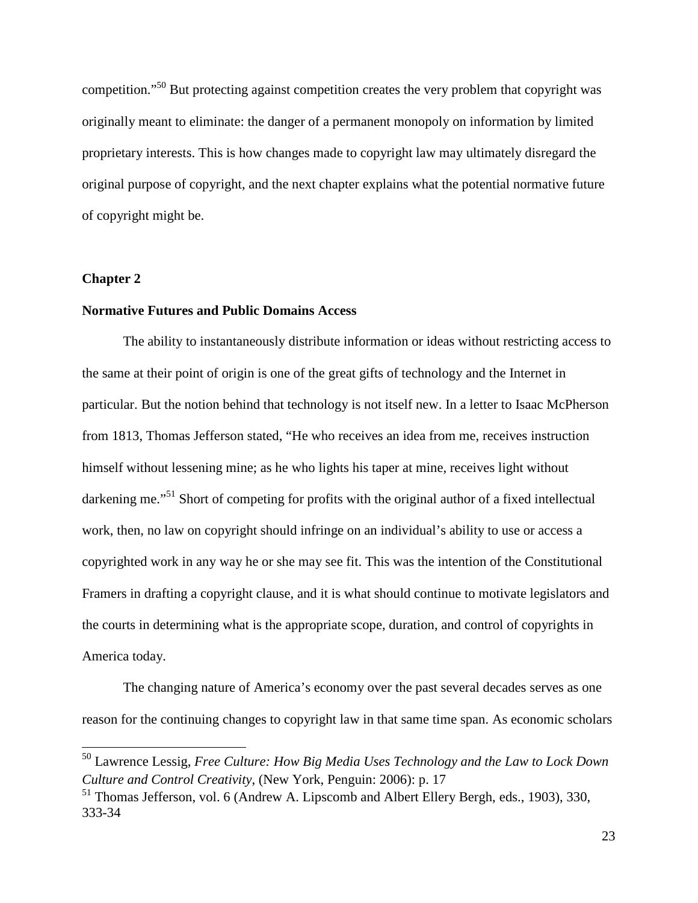competition."<sup>50</sup> But protecting against competition creates the very problem that copyright was originally meant to eliminate: the danger of a permanent monopoly on information by limited proprietary interests. This is how changes made to copyright law may ultimately disregard the original purpose of copyright, and the next chapter explains what the potential normative future of copyright might be.

#### **Chapter 2**

#### **Normative Futures and Public Domains Access**

The ability to instantaneously distribute information or ideas without restricting access to the same at their point of origin is one of the great gifts of technology and the Internet in particular. But the notion behind that technology is not itself new. In a letter to Isaac McPherson from 1813, Thomas Jefferson stated, "He who receives an idea from me, receives instruction himself without lessening mine; as he who lights his taper at mine, receives light without darkening me."<sup>51</sup> Short of competing for profits with the original author of a fixed intellectual work, then, no law on copyright should infringe on an individual's ability to use or access a copyrighted work in any way he or she may see fit. This was the intention of the Constitutional Framers in drafting a copyright clause, and it is what should continue to motivate legislators and the courts in determining what is the appropriate scope, duration, and control of copyrights in America today.

The changing nature of America's economy over the past several decades serves as one reason for the continuing changes to copyright law in that same time span. As economic scholars

<sup>50</sup> Lawrence Lessig, *Free Culture: How Big Media Uses Technology and the Law to Lock Down Culture and Control Creativity*, (New York, Penguin: 2006): p. 17

<sup>51</sup> Thomas Jefferson, vol. 6 (Andrew A. Lipscomb and Albert Ellery Bergh, eds., 1903), 330, 333-34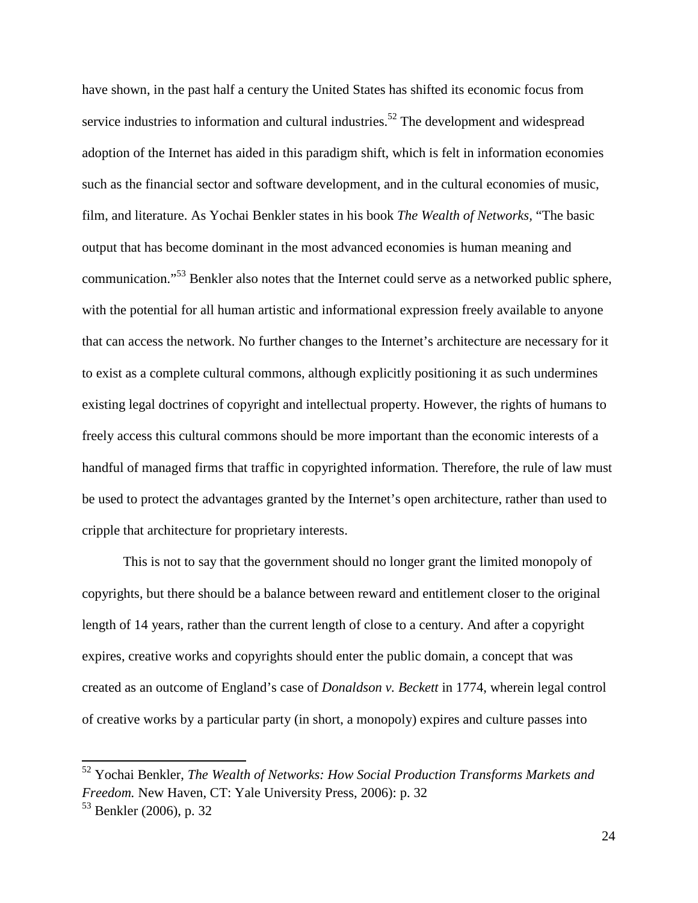have shown, in the past half a century the United States has shifted its economic focus from service industries to information and cultural industries.<sup>52</sup> The development and widespread adoption of the Internet has aided in this paradigm shift, which is felt in information economies such as the financial sector and software development, and in the cultural economies of music, film, and literature. As Yochai Benkler states in his book *The Wealth of Networks,* "The basic output that has become dominant in the most advanced economies is human meaning and communication."<sup>53</sup> Benkler also notes that the Internet could serve as a networked public sphere, with the potential for all human artistic and informational expression freely available to anyone that can access the network. No further changes to the Internet's architecture are necessary for it to exist as a complete cultural commons, although explicitly positioning it as such undermines existing legal doctrines of copyright and intellectual property. However, the rights of humans to freely access this cultural commons should be more important than the economic interests of a handful of managed firms that traffic in copyrighted information. Therefore, the rule of law must be used to protect the advantages granted by the Internet's open architecture, rather than used to cripple that architecture for proprietary interests.

This is not to say that the government should no longer grant the limited monopoly of copyrights, but there should be a balance between reward and entitlement closer to the original length of 14 years, rather than the current length of close to a century. And after a copyright expires, creative works and copyrights should enter the public domain, a concept that was created as an outcome of England's case of *Donaldson v. Beckett* in 1774, wherein legal control of creative works by a particular party (in short, a monopoly) expires and culture passes into

<sup>52</sup> Yochai Benkler, *The Wealth of Networks: How Social Production Transforms Markets and Freedom.* New Haven, CT: Yale University Press, 2006): p. 32

<sup>53</sup> Benkler (2006), p. 32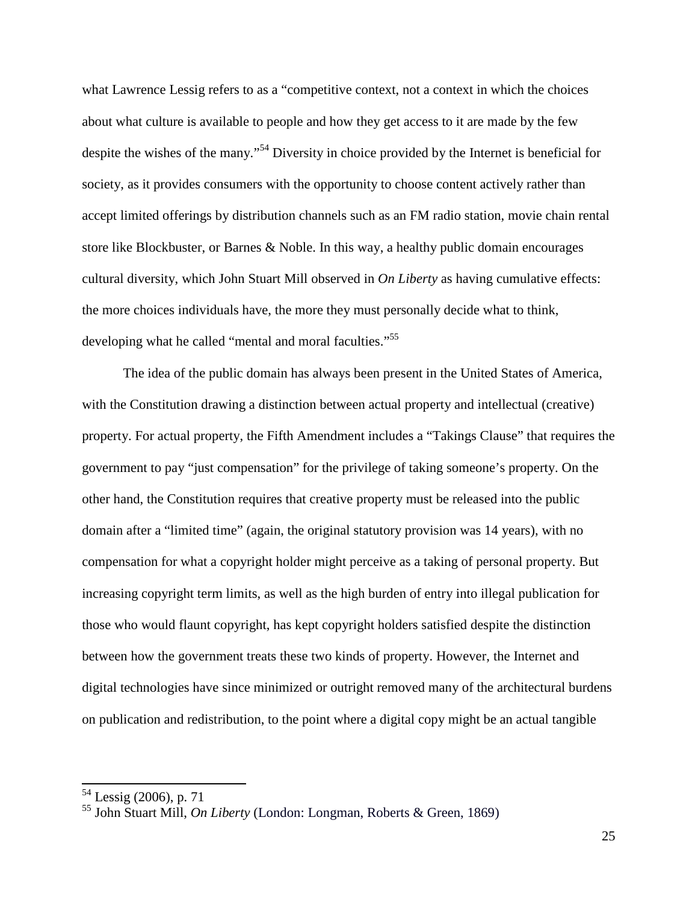what Lawrence Lessig refers to as a "competitive context, not a context in which the choices about what culture is available to people and how they get access to it are made by the few despite the wishes of the many."<sup>54</sup> Diversity in choice provided by the Internet is beneficial for society, as it provides consumers with the opportunity to choose content actively rather than accept limited offerings by distribution channels such as an FM radio station, movie chain rental store like Blockbuster, or Barnes & Noble. In this way, a healthy public domain encourages cultural diversity, which John Stuart Mill observed in *On Liberty* as having cumulative effects: the more choices individuals have, the more they must personally decide what to think, developing what he called "mental and moral faculties."<sup>55</sup>

The idea of the public domain has always been present in the United States of America, with the Constitution drawing a distinction between actual property and intellectual (creative) property. For actual property, the Fifth Amendment includes a "Takings Clause" that requires the government to pay "just compensation" for the privilege of taking someone's property. On the other hand, the Constitution requires that creative property must be released into the public domain after a "limited time" (again, the original statutory provision was 14 years), with no compensation for what a copyright holder might perceive as a taking of personal property. But increasing copyright term limits, as well as the high burden of entry into illegal publication for those who would flaunt copyright, has kept copyright holders satisfied despite the distinction between how the government treats these two kinds of property. However, the Internet and digital technologies have since minimized or outright removed many of the architectural burdens on publication and redistribution, to the point where a digital copy might be an actual tangible

<sup>&</sup>lt;sup>54</sup> Lessig (2006), p. 71

<sup>55</sup> John Stuart Mill, *On Liberty* (London: Longman, Roberts & Green, 1869)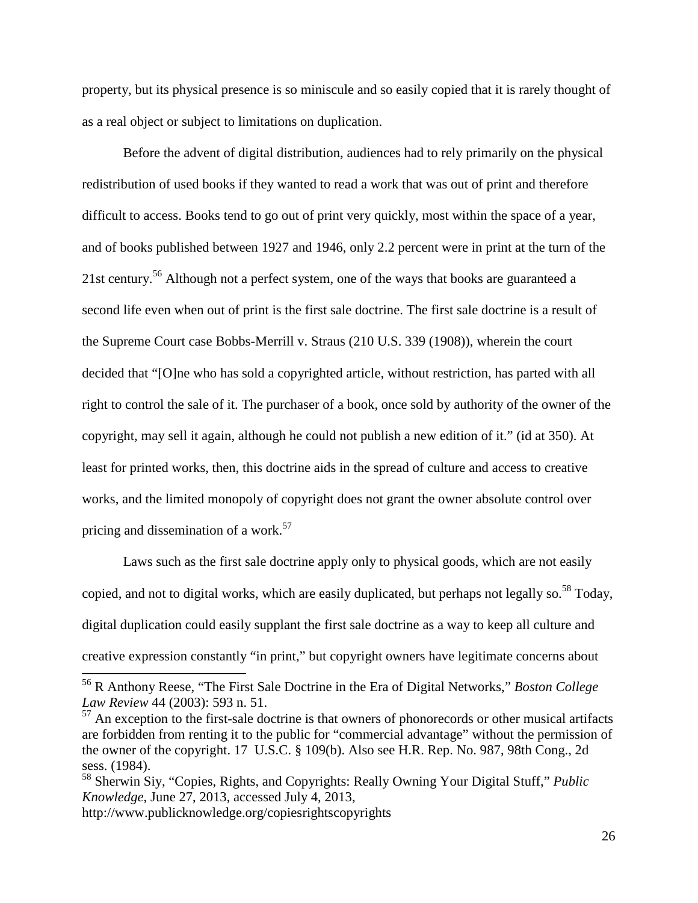property, but its physical presence is so miniscule and so easily copied that it is rarely thought of as a real object or subject to limitations on duplication.

Before the advent of digital distribution, audiences had to rely primarily on the physical redistribution of used books if they wanted to read a work that was out of print and therefore difficult to access. Books tend to go out of print very quickly, most within the space of a year, and of books published between 1927 and 1946, only 2.2 percent were in print at the turn of the 21st century.<sup>56</sup> Although not a perfect system, one of the ways that books are guaranteed a second life even when out of print is the first sale doctrine. The first sale doctrine is a result of the Supreme Court case Bobbs-Merrill v. Straus (210 U.S. 339 (1908)), wherein the court decided that "[O]ne who has sold a copyrighted article, without restriction, has parted with all right to control the sale of it. The purchaser of a book, once sold by authority of the owner of the copyright, may sell it again, although he could not publish a new edition of it." (id at 350). At least for printed works, then, this doctrine aids in the spread of culture and access to creative works, and the limited monopoly of copyright does not grant the owner absolute control over pricing and dissemination of a work.<sup>57</sup>

Laws such as the first sale doctrine apply only to physical goods, which are not easily copied, and not to digital works, which are easily duplicated, but perhaps not legally so.<sup>58</sup> Today, digital duplication could easily supplant the first sale doctrine as a way to keep all culture and creative expression constantly "in print," but copyright owners have legitimate concerns about

<sup>56</sup> R Anthony Reese, "The First Sale Doctrine in the Era of Digital Networks," *Boston College Law Review* 44 (2003): 593 n. 51.

 $57$  An exception to the first-sale doctrine is that owners of phonorecords or other musical artifacts are forbidden from renting it to the public for "commercial advantage" without the permission of the owner of the copyright. 17 U.S.C. § 109(b). Also see H.R. Rep. No. 987, 98th Cong., 2d sess. (1984).

<sup>58</sup> Sherwin Siy, "Copies, Rights, and Copyrights: Really Owning Your Digital Stuff," *Public Knowledge*, June 27, 2013, accessed July 4, 2013,

http://www.publicknowledge.org/copiesrightscopyrights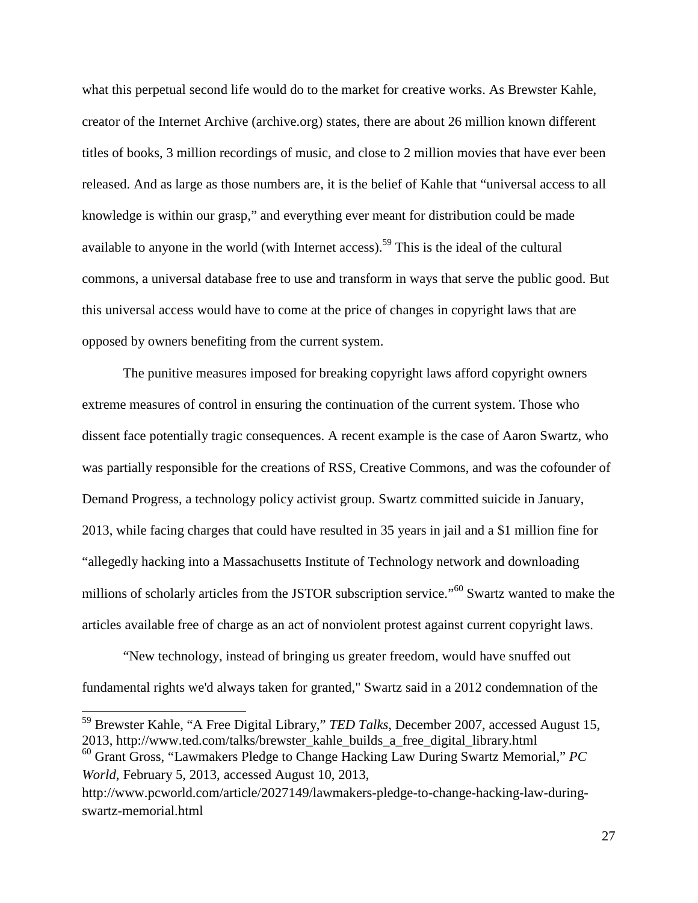what this perpetual second life would do to the market for creative works. As Brewster Kahle, creator of the Internet Archive (archive.org) states, there are about 26 million known different titles of books, 3 million recordings of music, and close to 2 million movies that have ever been released. And as large as those numbers are, it is the belief of Kahle that "universal access to all knowledge is within our grasp," and everything ever meant for distribution could be made available to anyone in the world (with Internet access).<sup>59</sup> This is the ideal of the cultural commons, a universal database free to use and transform in ways that serve the public good. But this universal access would have to come at the price of changes in copyright laws that are opposed by owners benefiting from the current system.

The punitive measures imposed for breaking copyright laws afford copyright owners extreme measures of control in ensuring the continuation of the current system. Those who dissent face potentially tragic consequences. A recent example is the case of Aaron Swartz, who was partially responsible for the creations of RSS, Creative Commons, and was the cofounder of Demand Progress, a technology policy activist group. Swartz committed suicide in January, 2013, while facing charges that could have resulted in 35 years in jail and a \$1 million fine for "allegedly hacking into a Massachusetts Institute of Technology network and downloading millions of scholarly articles from the JSTOR subscription service."<sup>60</sup> Swartz wanted to make the articles available free of charge as an act of nonviolent protest against current copyright laws.

"New technology, instead of bringing us greater freedom, would have snuffed out fundamental rights we'd always taken for granted," Swartz said in a 2012 condemnation of the

 $\overline{a}$ 

<sup>59</sup> Brewster Kahle, "A Free Digital Library," *TED Talks*, December 2007, accessed August 15, 2013, http://www.ted.com/talks/brewster\_kahle\_builds\_a\_free\_digital\_library.html <sup>60</sup> Grant Gross, "Lawmakers Pledge to Change Hacking Law During Swartz Memorial," *PC World*, February 5, 2013, accessed August 10, 2013,

http://www.pcworld.com/article/2027149/lawmakers-pledge-to-change-hacking-law-duringswartz-memorial.html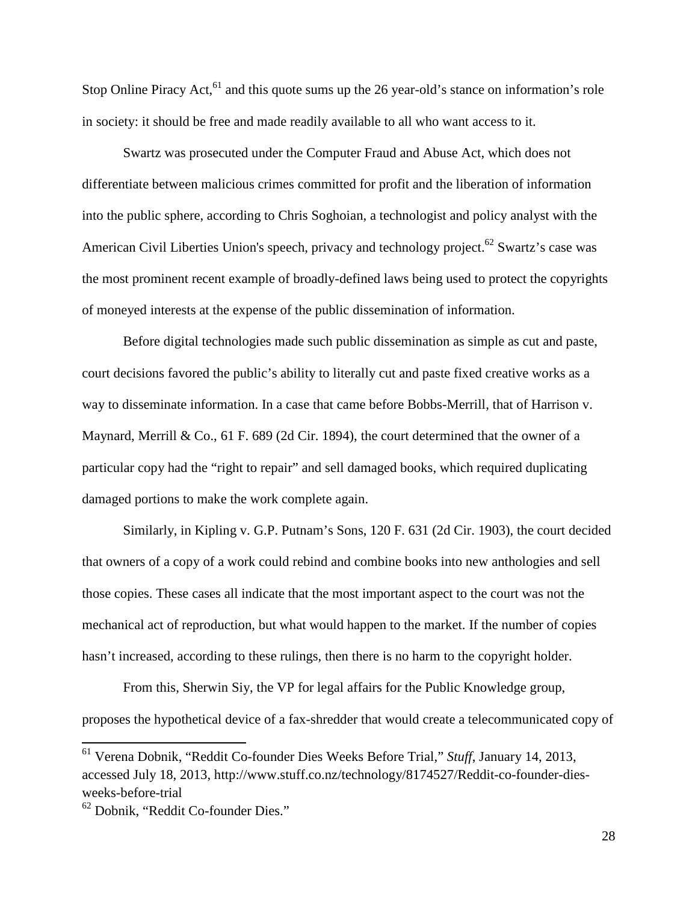Stop Online Piracy Act,  $61$  and this quote sums up the 26 year-old's stance on information's role in society: it should be free and made readily available to all who want access to it.

Swartz was prosecuted under the Computer Fraud and Abuse Act, which does not differentiate between malicious crimes committed for profit and the liberation of information into the public sphere, according to Chris Soghoian, a technologist and policy analyst with the American Civil Liberties Union's speech, privacy and technology project.<sup>62</sup> Swartz's case was the most prominent recent example of broadly-defined laws being used to protect the copyrights of moneyed interests at the expense of the public dissemination of information.

Before digital technologies made such public dissemination as simple as cut and paste, court decisions favored the public's ability to literally cut and paste fixed creative works as a way to disseminate information. In a case that came before Bobbs-Merrill, that of Harrison v. Maynard, Merrill & Co., 61 F. 689 (2d Cir. 1894), the court determined that the owner of a particular copy had the "right to repair" and sell damaged books, which required duplicating damaged portions to make the work complete again.

Similarly, in Kipling v. G.P. Putnam's Sons, 120 F. 631 (2d Cir. 1903), the court decided that owners of a copy of a work could rebind and combine books into new anthologies and sell those copies. These cases all indicate that the most important aspect to the court was not the mechanical act of reproduction, but what would happen to the market. If the number of copies hasn't increased, according to these rulings, then there is no harm to the copyright holder.

From this, Sherwin Siy, the VP for legal affairs for the Public Knowledge group, proposes the hypothetical device of a fax-shredder that would create a telecommunicated copy of

<sup>61</sup> Verena Dobnik, "Reddit Co-founder Dies Weeks Before Trial," *Stuff*, January 14, 2013, accessed July 18, 2013, http://www.stuff.co.nz/technology/8174527/Reddit-co-founder-diesweeks-before-trial

<sup>62</sup> Dobnik, "Reddit Co-founder Dies."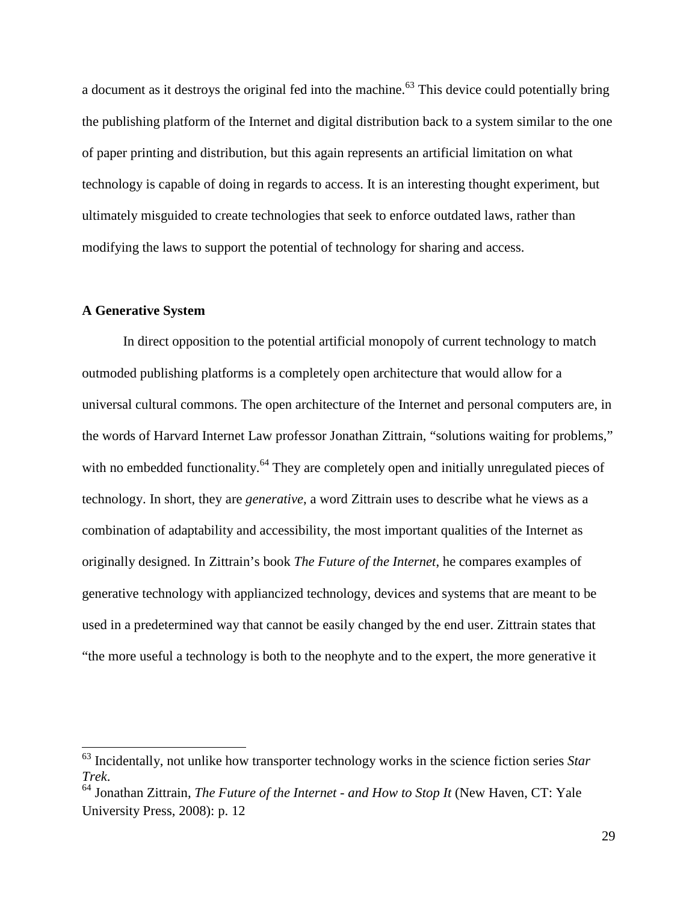a document as it destroys the original fed into the machine.<sup>63</sup> This device could potentially bring the publishing platform of the Internet and digital distribution back to a system similar to the one of paper printing and distribution, but this again represents an artificial limitation on what technology is capable of doing in regards to access. It is an interesting thought experiment, but ultimately misguided to create technologies that seek to enforce outdated laws, rather than modifying the laws to support the potential of technology for sharing and access.

#### **A Generative System**

In direct opposition to the potential artificial monopoly of current technology to match outmoded publishing platforms is a completely open architecture that would allow for a universal cultural commons. The open architecture of the Internet and personal computers are, in the words of Harvard Internet Law professor Jonathan Zittrain, "solutions waiting for problems," with no embedded functionality.<sup>64</sup> They are completely open and initially unregulated pieces of technology. In short, they are *generative*, a word Zittrain uses to describe what he views as a combination of adaptability and accessibility, the most important qualities of the Internet as originally designed. In Zittrain's book *The Future of the Internet*, he compares examples of generative technology with appliancized technology, devices and systems that are meant to be used in a predetermined way that cannot be easily changed by the end user. Zittrain states that "the more useful a technology is both to the neophyte and to the expert, the more generative it

<sup>63</sup> Incidentally, not unlike how transporter technology works in the science fiction series *Star Trek*.

<sup>64</sup> Jonathan Zittrain, *The Future of the Internet - and How to Stop It* (New Haven, CT: Yale University Press, 2008): p. 12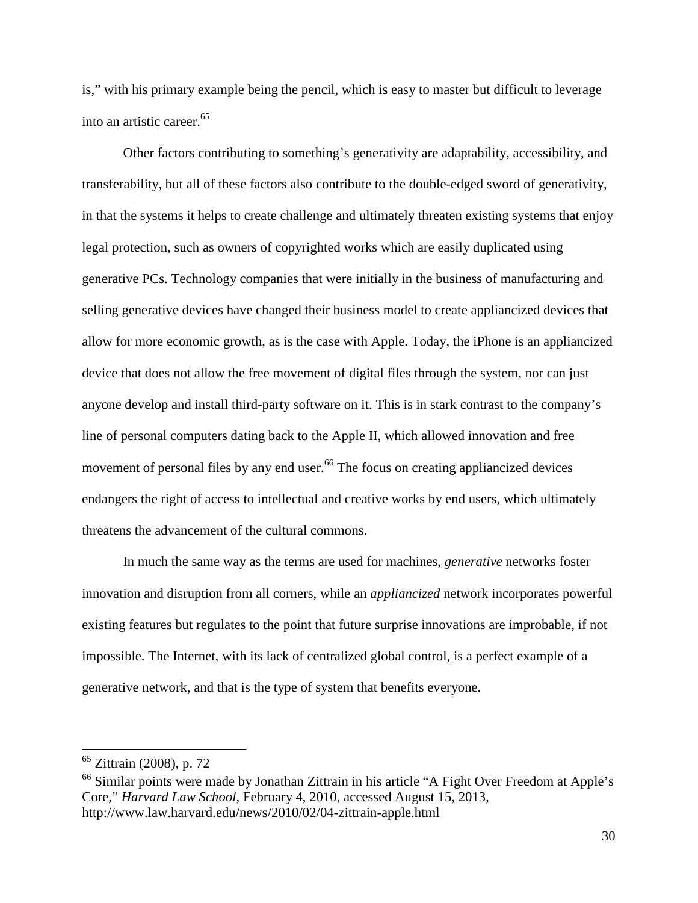is," with his primary example being the pencil, which is easy to master but difficult to leverage into an artistic career.<sup>65</sup>

Other factors contributing to something's generativity are adaptability, accessibility, and transferability, but all of these factors also contribute to the double-edged sword of generativity, in that the systems it helps to create challenge and ultimately threaten existing systems that enjoy legal protection, such as owners of copyrighted works which are easily duplicated using generative PCs. Technology companies that were initially in the business of manufacturing and selling generative devices have changed their business model to create appliancized devices that allow for more economic growth, as is the case with Apple. Today, the iPhone is an appliancized device that does not allow the free movement of digital files through the system, nor can just anyone develop and install third-party software on it. This is in stark contrast to the company's line of personal computers dating back to the Apple II, which allowed innovation and free movement of personal files by any end user.<sup>66</sup> The focus on creating appliancized devices endangers the right of access to intellectual and creative works by end users, which ultimately threatens the advancement of the cultural commons.

In much the same way as the terms are used for machines, *generative* networks foster innovation and disruption from all corners, while an *appliancized* network incorporates powerful existing features but regulates to the point that future surprise innovations are improbable, if not impossible. The Internet, with its lack of centralized global control, is a perfect example of a generative network, and that is the type of system that benefits everyone.

<sup>65</sup> Zittrain (2008), p. 72

<sup>&</sup>lt;sup>66</sup> Similar points were made by Jonathan Zittrain in his article "A Fight Over Freedom at Apple's Core," *Harvard Law School*, February 4, 2010, accessed August 15, 2013, http://www.law.harvard.edu/news/2010/02/04-zittrain-apple.html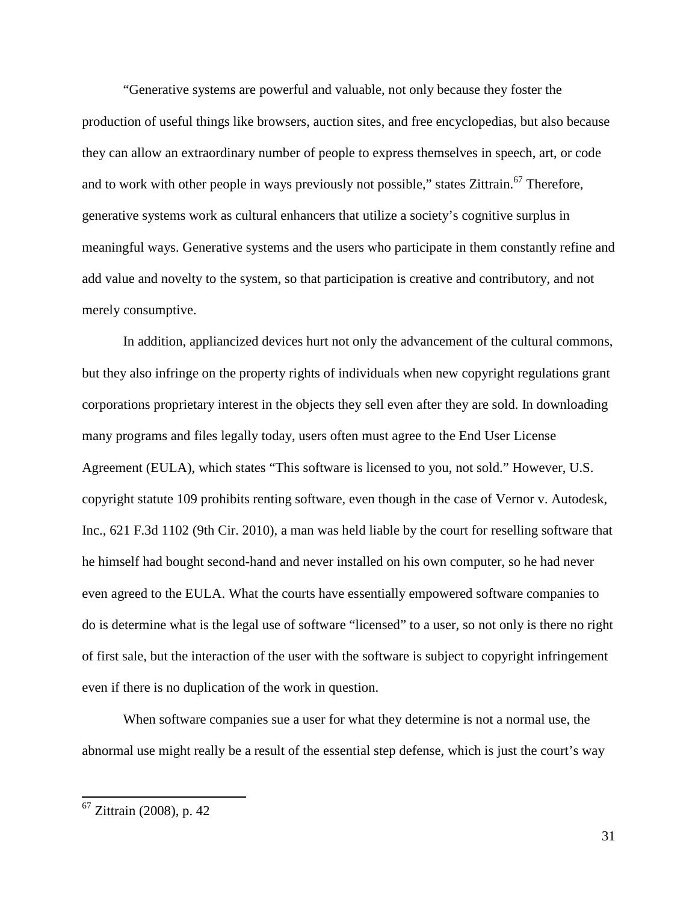"Generative systems are powerful and valuable, not only because they foster the production of useful things like browsers, auction sites, and free encyclopedias, but also because they can allow an extraordinary number of people to express themselves in speech, art, or code and to work with other people in ways previously not possible," states Zittrain.<sup>67</sup> Therefore, generative systems work as cultural enhancers that utilize a society's cognitive surplus in meaningful ways. Generative systems and the users who participate in them constantly refine and add value and novelty to the system, so that participation is creative and contributory, and not merely consumptive.

In addition, appliancized devices hurt not only the advancement of the cultural commons, but they also infringe on the property rights of individuals when new copyright regulations grant corporations proprietary interest in the objects they sell even after they are sold. In downloading many programs and files legally today, users often must agree to the End User License Agreement (EULA), which states "This software is licensed to you, not sold." However, U.S. copyright statute 109 prohibits renting software, even though in the case of Vernor v. Autodesk, Inc., 621 F.3d 1102 (9th Cir. 2010), a man was held liable by the court for reselling software that he himself had bought second-hand and never installed on his own computer, so he had never even agreed to the EULA. What the courts have essentially empowered software companies to do is determine what is the legal use of software "licensed" to a user, so not only is there no right of first sale, but the interaction of the user with the software is subject to copyright infringement even if there is no duplication of the work in question.

When software companies sue a user for what they determine is not a normal use, the abnormal use might really be a result of the essential step defense, which is just the court's way

<sup>&</sup>lt;sup>67</sup> Zittrain (2008), p. 42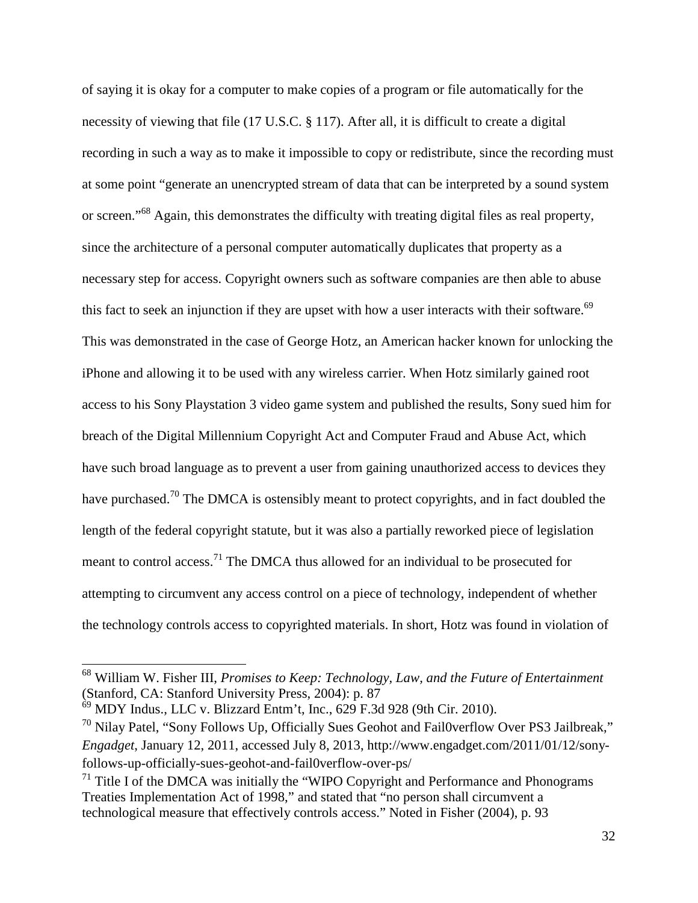of saying it is okay for a computer to make copies of a program or file automatically for the necessity of viewing that file (17 U.S.C. § 117). After all, it is difficult to create a digital recording in such a way as to make it impossible to copy or redistribute, since the recording must at some point "generate an unencrypted stream of data that can be interpreted by a sound system or screen."<sup>68</sup> Again, this demonstrates the difficulty with treating digital files as real property, since the architecture of a personal computer automatically duplicates that property as a necessary step for access. Copyright owners such as software companies are then able to abuse this fact to seek an injunction if they are upset with how a user interacts with their software.<sup>69</sup> This was demonstrated in the case of George Hotz, an American hacker known for unlocking the iPhone and allowing it to be used with any wireless carrier. When Hotz similarly gained root access to his Sony Playstation 3 video game system and published the results, Sony sued him for breach of the Digital Millennium Copyright Act and Computer Fraud and Abuse Act, which have such broad language as to prevent a user from gaining unauthorized access to devices they have purchased.<sup>70</sup> The DMCA is ostensibly meant to protect copyrights, and in fact doubled the length of the federal copyright statute, but it was also a partially reworked piece of legislation meant to control access.<sup>71</sup> The DMCA thus allowed for an individual to be prosecuted for attempting to circumvent any access control on a piece of technology, independent of whether the technology controls access to copyrighted materials. In short, Hotz was found in violation of

<sup>68</sup> William W. Fisher III, *Promises to Keep: Technology, Law, and the Future of Entertainment* (Stanford, CA: Stanford University Press, 2004): p. 87

 $^{69}$  MDY Indus., LLC v. Blizzard Entm't, Inc., 629 F.3d 928 (9th Cir. 2010).

 $70$  Nilay Patel, "Sony Follows Up, Officially Sues Geohot and Fail0verflow Over PS3 Jailbreak," *Engadget*, January 12, 2011, accessed July 8, 2013, http://www.engadget.com/2011/01/12/sonyfollows-up-officially-sues-geohot-and-fail0verflow-over-ps/

 $<sup>71</sup>$  Title I of the DMCA was initially the "WIPO Copyright and Performance and Phonograms</sup> Treaties Implementation Act of 1998," and stated that "no person shall circumvent a technological measure that effectively controls access." Noted in Fisher (2004), p. 93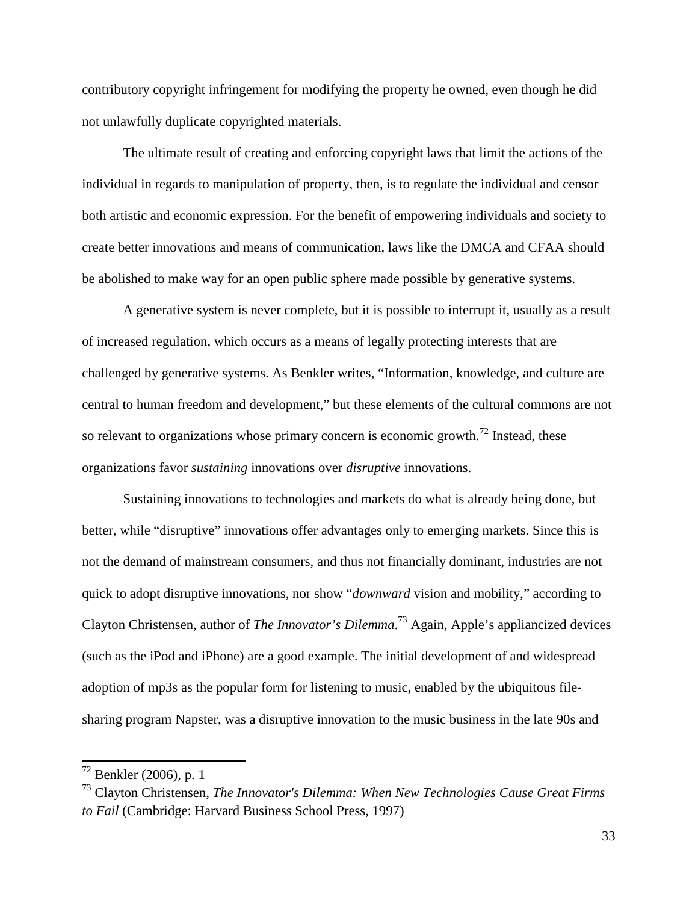contributory copyright infringement for modifying the property he owned, even though he did not unlawfully duplicate copyrighted materials.

The ultimate result of creating and enforcing copyright laws that limit the actions of the individual in regards to manipulation of property, then, is to regulate the individual and censor both artistic and economic expression. For the benefit of empowering individuals and society to create better innovations and means of communication, laws like the DMCA and CFAA should be abolished to make way for an open public sphere made possible by generative systems.

A generative system is never complete, but it is possible to interrupt it, usually as a result of increased regulation, which occurs as a means of legally protecting interests that are challenged by generative systems. As Benkler writes, "Information, knowledge, and culture are central to human freedom and development," but these elements of the cultural commons are not so relevant to organizations whose primary concern is economic growth.<sup>72</sup> Instead, these organizations favor *sustaining* innovations over *disruptive* innovations.

Sustaining innovations to technologies and markets do what is already being done, but better, while "disruptive" innovations offer advantages only to emerging markets. Since this is not the demand of mainstream consumers, and thus not financially dominant, industries are not quick to adopt disruptive innovations, nor show "*downward* vision and mobility," according to Clayton Christensen, author of *The Innovator's Dilemma*. <sup>73</sup> Again, Apple's appliancized devices (such as the iPod and iPhone) are a good example. The initial development of and widespread adoption of mp3s as the popular form for listening to music, enabled by the ubiquitous filesharing program Napster, was a disruptive innovation to the music business in the late 90s and

 $^{72}$  Benkler (2006), p. 1

<sup>73</sup> Clayton Christensen, *The Innovator's Dilemma: When New Technologies Cause Great Firms to Fail* (Cambridge: Harvard Business School Press, 1997)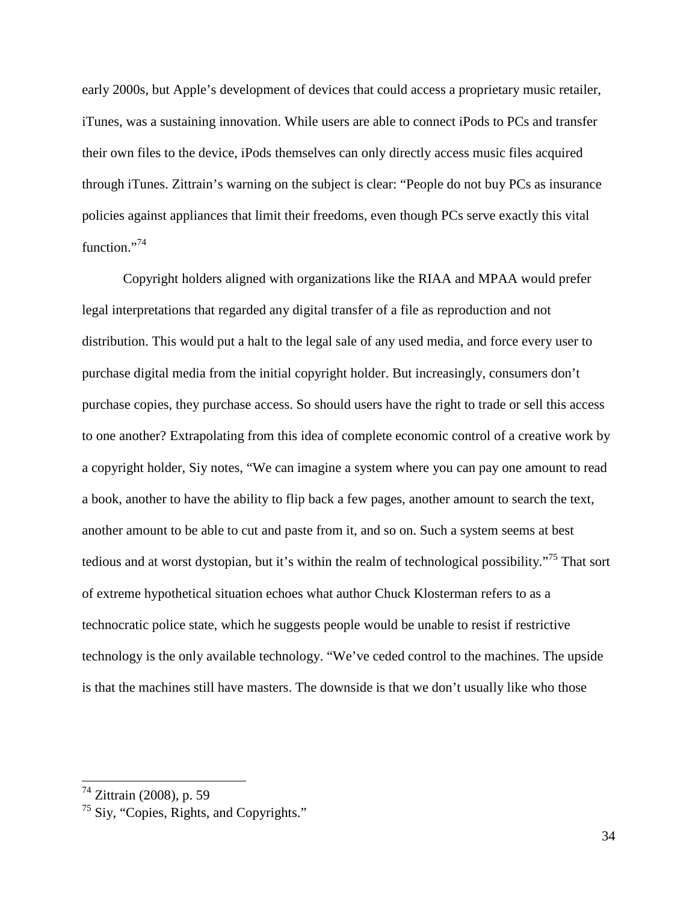early 2000s, but Apple's development of devices that could access a proprietary music retailer, iTunes, was a sustaining innovation. While users are able to connect iPods to PCs and transfer their own files to the device, iPods themselves can only directly access music files acquired through iTunes. Zittrain's warning on the subject is clear: "People do not buy PCs as insurance policies against appliances that limit their freedoms, even though PCs serve exactly this vital function."<sup>74</sup>

Copyright holders aligned with organizations like the RIAA and MPAA would prefer legal interpretations that regarded any digital transfer of a file as reproduction and not distribution. This would put a halt to the legal sale of any used media, and force every user to purchase digital media from the initial copyright holder. But increasingly, consumers don't purchase copies, they purchase access. So should users have the right to trade or sell this access to one another? Extrapolating from this idea of complete economic control of a creative work by a copyright holder, Siy notes, "We can imagine a system where you can pay one amount to read a book, another to have the ability to flip back a few pages, another amount to search the text, another amount to be able to cut and paste from it, and so on. Such a system seems at best tedious and at worst dystopian, but it's within the realm of technological possibility."<sup>75</sup> That sort of extreme hypothetical situation echoes what author Chuck Klosterman refers to as a technocratic police state, which he suggests people would be unable to resist if restrictive technology is the only available technology. "We've ceded control to the machines. The upside is that the machines still have masters. The downside is that we don't usually like who those

<sup>&</sup>lt;sup>74</sup> Zittrain (2008), p. 59

 $75$  Siy, "Copies, Rights, and Copyrights."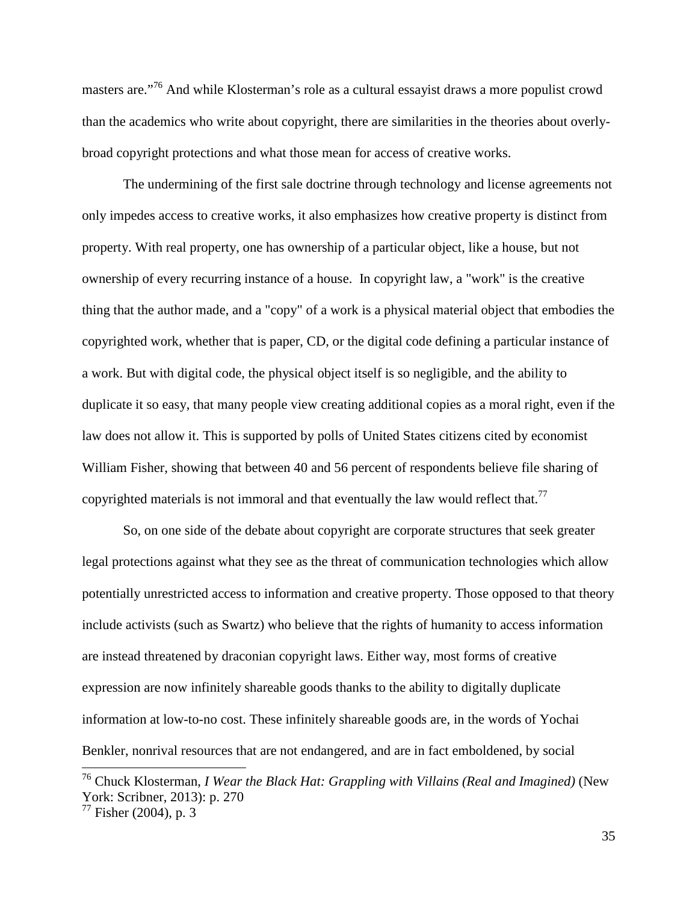masters are."<sup>76</sup> And while Klosterman's role as a cultural essayist draws a more populist crowd than the academics who write about copyright, there are similarities in the theories about overlybroad copyright protections and what those mean for access of creative works.

The undermining of the first sale doctrine through technology and license agreements not only impedes access to creative works, it also emphasizes how creative property is distinct from property. With real property, one has ownership of a particular object, like a house, but not ownership of every recurring instance of a house. In copyright law, a "work" is the creative thing that the author made, and a "copy" of a work is a physical material object that embodies the copyrighted work, whether that is paper, CD, or the digital code defining a particular instance of a work. But with digital code, the physical object itself is so negligible, and the ability to duplicate it so easy, that many people view creating additional copies as a moral right, even if the law does not allow it. This is supported by polls of United States citizens cited by economist William Fisher, showing that between 40 and 56 percent of respondents believe file sharing of copyrighted materials is not immoral and that eventually the law would reflect that.<sup>77</sup>

So, on one side of the debate about copyright are corporate structures that seek greater legal protections against what they see as the threat of communication technologies which allow potentially unrestricted access to information and creative property. Those opposed to that theory include activists (such as Swartz) who believe that the rights of humanity to access information are instead threatened by draconian copyright laws. Either way, most forms of creative expression are now infinitely shareable goods thanks to the ability to digitally duplicate information at low-to-no cost. These infinitely shareable goods are, in the words of Yochai Benkler, nonrival resources that are not endangered, and are in fact emboldened, by social

<sup>76</sup> Chuck Klosterman, *I Wear the Black Hat: Grappling with Villains (Real and Imagined)* (New York: Scribner, 2013): p. 270

 $77$  Fisher (2004), p. 3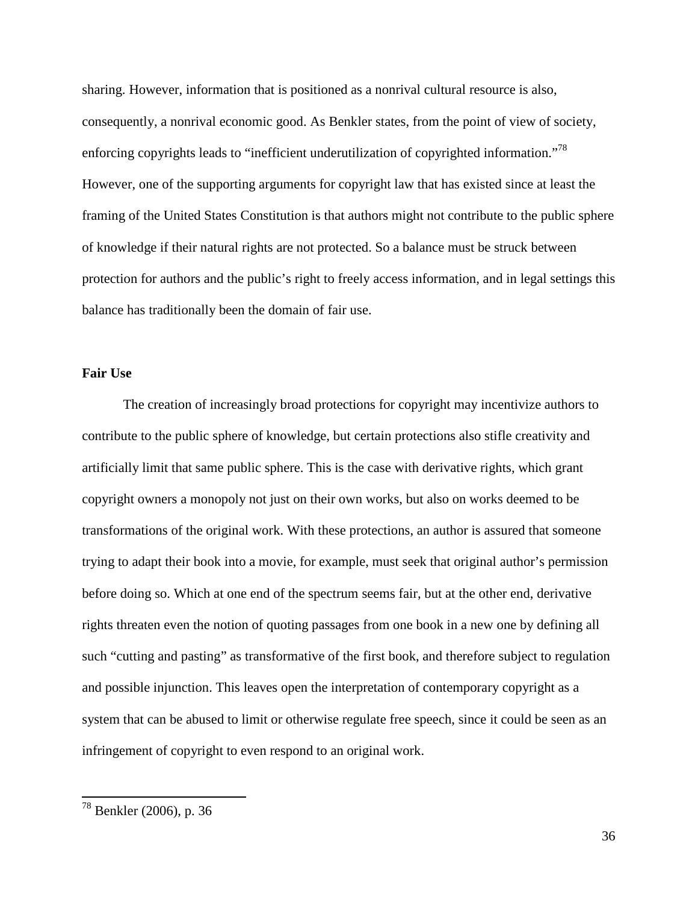sharing. However, information that is positioned as a nonrival cultural resource is also, consequently, a nonrival economic good. As Benkler states, from the point of view of society, enforcing copyrights leads to "inefficient underutilization of copyrighted information."<sup>78</sup> However, one of the supporting arguments for copyright law that has existed since at least the framing of the United States Constitution is that authors might not contribute to the public sphere of knowledge if their natural rights are not protected. So a balance must be struck between protection for authors and the public's right to freely access information, and in legal settings this balance has traditionally been the domain of fair use.

#### **Fair Use**

The creation of increasingly broad protections for copyright may incentivize authors to contribute to the public sphere of knowledge, but certain protections also stifle creativity and artificially limit that same public sphere. This is the case with derivative rights, which grant copyright owners a monopoly not just on their own works, but also on works deemed to be transformations of the original work. With these protections, an author is assured that someone trying to adapt their book into a movie, for example, must seek that original author's permission before doing so. Which at one end of the spectrum seems fair, but at the other end, derivative rights threaten even the notion of quoting passages from one book in a new one by defining all such "cutting and pasting" as transformative of the first book, and therefore subject to regulation and possible injunction. This leaves open the interpretation of contemporary copyright as a system that can be abused to limit or otherwise regulate free speech, since it could be seen as an infringement of copyright to even respond to an original work.

<sup>78</sup> Benkler (2006), p. 36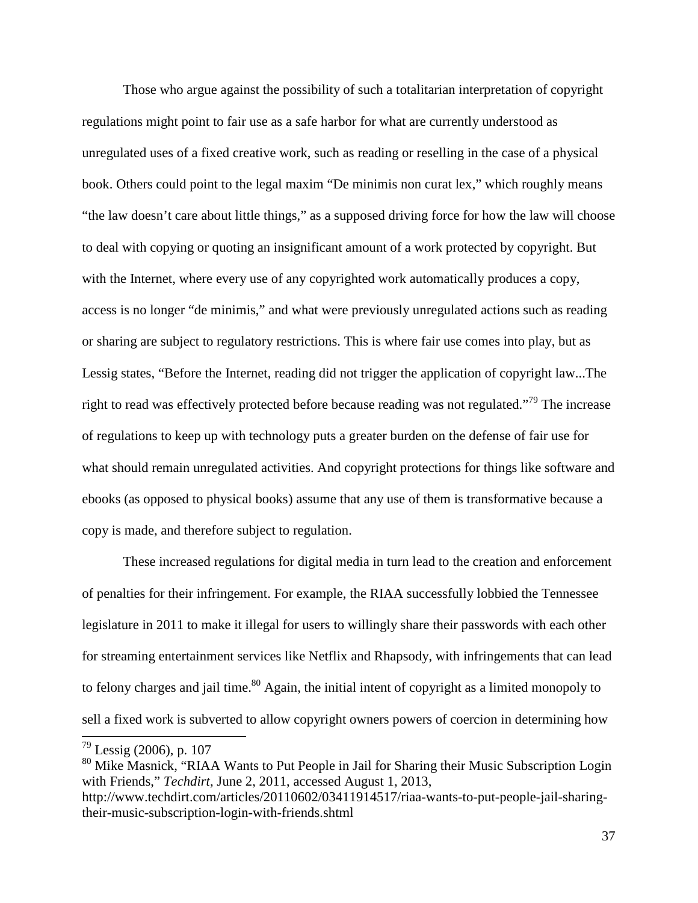Those who argue against the possibility of such a totalitarian interpretation of copyright regulations might point to fair use as a safe harbor for what are currently understood as unregulated uses of a fixed creative work, such as reading or reselling in the case of a physical book. Others could point to the legal maxim "De minimis non curat lex," which roughly means "the law doesn't care about little things," as a supposed driving force for how the law will choose to deal with copying or quoting an insignificant amount of a work protected by copyright. But with the Internet, where every use of any copyrighted work automatically produces a copy, access is no longer "de minimis," and what were previously unregulated actions such as reading or sharing are subject to regulatory restrictions. This is where fair use comes into play, but as Lessig states, "Before the Internet, reading did not trigger the application of copyright law...The right to read was effectively protected before because reading was not regulated."<sup>79</sup> The increase of regulations to keep up with technology puts a greater burden on the defense of fair use for what should remain unregulated activities. And copyright protections for things like software and ebooks (as opposed to physical books) assume that any use of them is transformative because a copy is made, and therefore subject to regulation.

These increased regulations for digital media in turn lead to the creation and enforcement of penalties for their infringement. For example, the RIAA successfully lobbied the Tennessee legislature in 2011 to make it illegal for users to willingly share their passwords with each other for streaming entertainment services like Netflix and Rhapsody, with infringements that can lead to felony charges and jail time.<sup>80</sup> Again, the initial intent of copyright as a limited monopoly to sell a fixed work is subverted to allow copyright owners powers of coercion in determining how

 $79$  Lessig (2006), p. 107

<sup>80</sup> Mike Masnick, "RIAA Wants to Put People in Jail for Sharing their Music Subscription Login with Friends," *Techdirt,* June 2, 2011, accessed August 1, 2013,

http://www.techdirt.com/articles/20110602/03411914517/riaa-wants-to-put-people-jail-sharingtheir-music-subscription-login-with-friends.shtml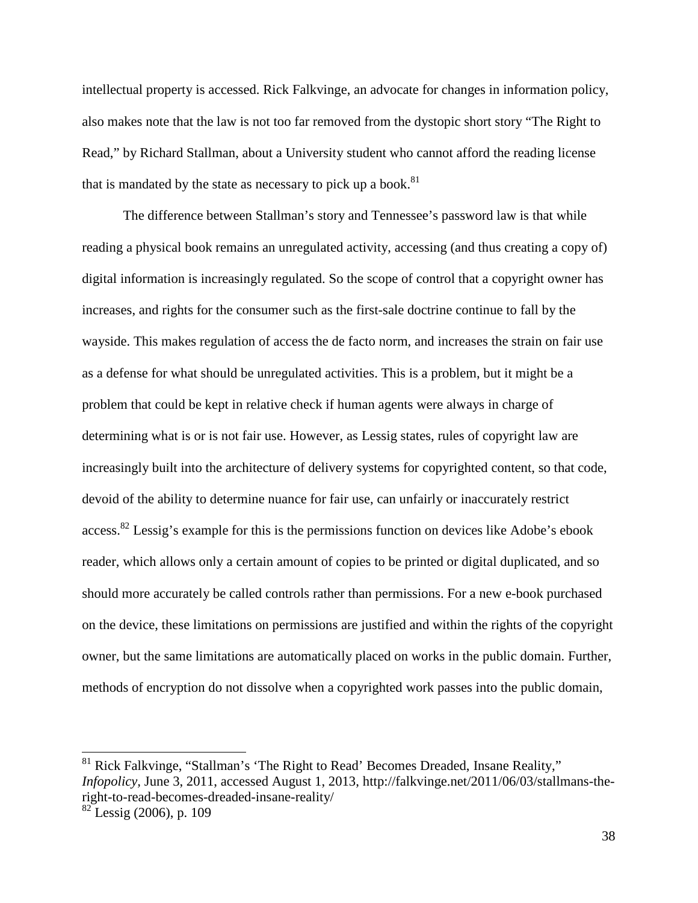intellectual property is accessed. Rick Falkvinge, an advocate for changes in information policy, also makes note that the law is not too far removed from the dystopic short story "The Right to Read," by Richard Stallman, about a University student who cannot afford the reading license that is mandated by the state as necessary to pick up a book. $81$ 

The difference between Stallman's story and Tennessee's password law is that while reading a physical book remains an unregulated activity, accessing (and thus creating a copy of) digital information is increasingly regulated. So the scope of control that a copyright owner has increases, and rights for the consumer such as the first-sale doctrine continue to fall by the wayside. This makes regulation of access the de facto norm, and increases the strain on fair use as a defense for what should be unregulated activities. This is a problem, but it might be a problem that could be kept in relative check if human agents were always in charge of determining what is or is not fair use. However, as Lessig states, rules of copyright law are increasingly built into the architecture of delivery systems for copyrighted content, so that code, devoid of the ability to determine nuance for fair use, can unfairly or inaccurately restrict  $access$ <sup>82</sup> Lessig's example for this is the permissions function on devices like Adobe's ebook reader, which allows only a certain amount of copies to be printed or digital duplicated, and so should more accurately be called controls rather than permissions. For a new e-book purchased on the device, these limitations on permissions are justified and within the rights of the copyright owner, but the same limitations are automatically placed on works in the public domain. Further, methods of encryption do not dissolve when a copyrighted work passes into the public domain,

Rick Falkvinge, "Stallman's 'The Right to Read' Becomes Dreaded, Insane Reality," *Infopolicy,* June 3, 2011, accessed August 1, 2013, http://falkvinge.net/2011/06/03/stallmans-theright-to-read-becomes-dreaded-insane-reality/

 $82$  Lessig (2006), p. 109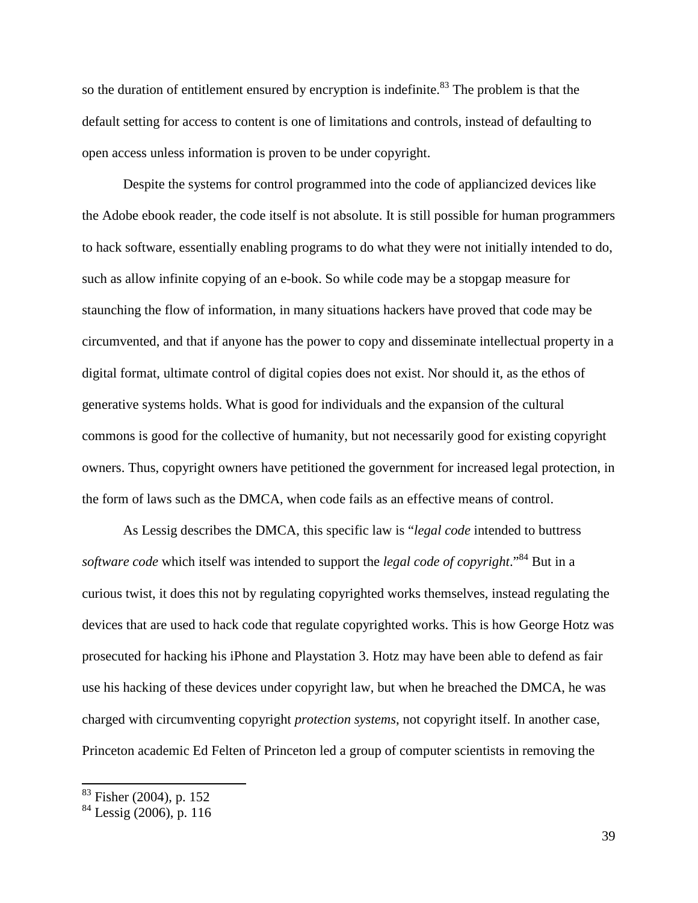so the duration of entitlement ensured by encryption is indefinite.<sup>83</sup> The problem is that the default setting for access to content is one of limitations and controls, instead of defaulting to open access unless information is proven to be under copyright.

Despite the systems for control programmed into the code of appliancized devices like the Adobe ebook reader, the code itself is not absolute. It is still possible for human programmers to hack software, essentially enabling programs to do what they were not initially intended to do, such as allow infinite copying of an e-book. So while code may be a stopgap measure for staunching the flow of information, in many situations hackers have proved that code may be circumvented, and that if anyone has the power to copy and disseminate intellectual property in a digital format, ultimate control of digital copies does not exist. Nor should it, as the ethos of generative systems holds. What is good for individuals and the expansion of the cultural commons is good for the collective of humanity, but not necessarily good for existing copyright owners. Thus, copyright owners have petitioned the government for increased legal protection, in the form of laws such as the DMCA, when code fails as an effective means of control.

As Lessig describes the DMCA, this specific law is "*legal code* intended to buttress *software code* which itself was intended to support the *legal code of copyright*."<sup>84</sup> But in a curious twist, it does this not by regulating copyrighted works themselves, instead regulating the devices that are used to hack code that regulate copyrighted works. This is how George Hotz was prosecuted for hacking his iPhone and Playstation 3. Hotz may have been able to defend as fair use his hacking of these devices under copyright law, but when he breached the DMCA, he was charged with circumventing copyright *protection systems*, not copyright itself. In another case, Princeton academic Ed Felten of Princeton led a group of computer scientists in removing the

<sup>&</sup>lt;sup>83</sup> Fisher (2004), p. 152

<sup>84</sup> Lessig (2006), p. 116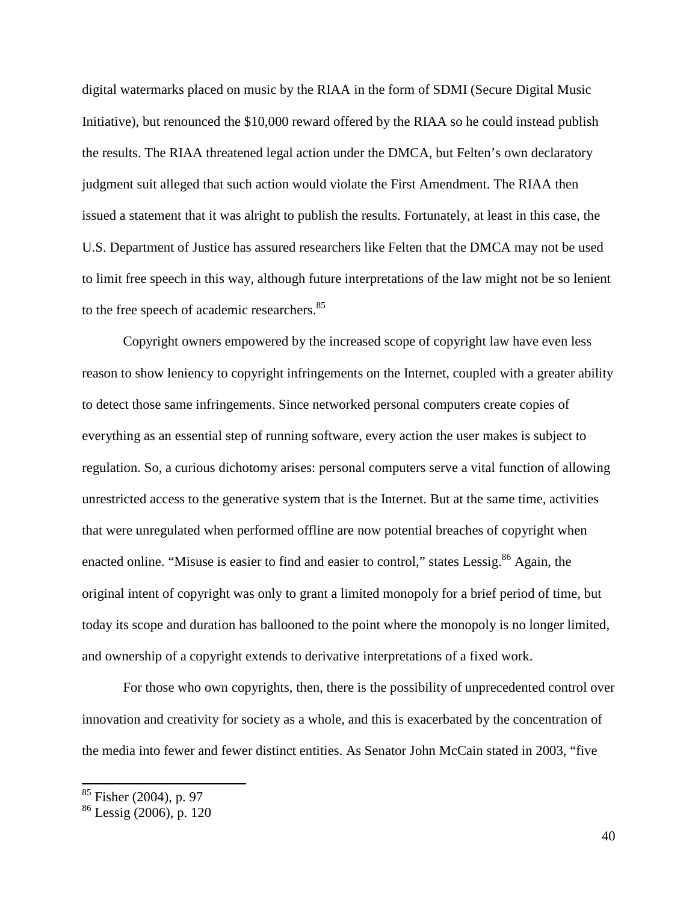digital watermarks placed on music by the RIAA in the form of SDMI (Secure Digital Music Initiative), but renounced the \$10,000 reward offered by the RIAA so he could instead publish the results. The RIAA threatened legal action under the DMCA, but Felten's own declaratory judgment suit alleged that such action would violate the First Amendment. The RIAA then issued a statement that it was alright to publish the results. Fortunately, at least in this case, the U.S. Department of Justice has assured researchers like Felten that the DMCA may not be used to limit free speech in this way, although future interpretations of the law might not be so lenient to the free speech of academic researchers.<sup>85</sup>

Copyright owners empowered by the increased scope of copyright law have even less reason to show leniency to copyright infringements on the Internet, coupled with a greater ability to detect those same infringements. Since networked personal computers create copies of everything as an essential step of running software, every action the user makes is subject to regulation. So, a curious dichotomy arises: personal computers serve a vital function of allowing unrestricted access to the generative system that is the Internet. But at the same time, activities that were unregulated when performed offline are now potential breaches of copyright when enacted online. "Misuse is easier to find and easier to control," states Lessig.<sup>86</sup> Again, the original intent of copyright was only to grant a limited monopoly for a brief period of time, but today its scope and duration has ballooned to the point where the monopoly is no longer limited, and ownership of a copyright extends to derivative interpretations of a fixed work.

For those who own copyrights, then, there is the possibility of unprecedented control over innovation and creativity for society as a whole, and this is exacerbated by the concentration of the media into fewer and fewer distinct entities. As Senator John McCain stated in 2003, "five

<sup>&</sup>lt;sup>85</sup> Fisher (2004), p. 97

<sup>86</sup> Lessig (2006), p. 120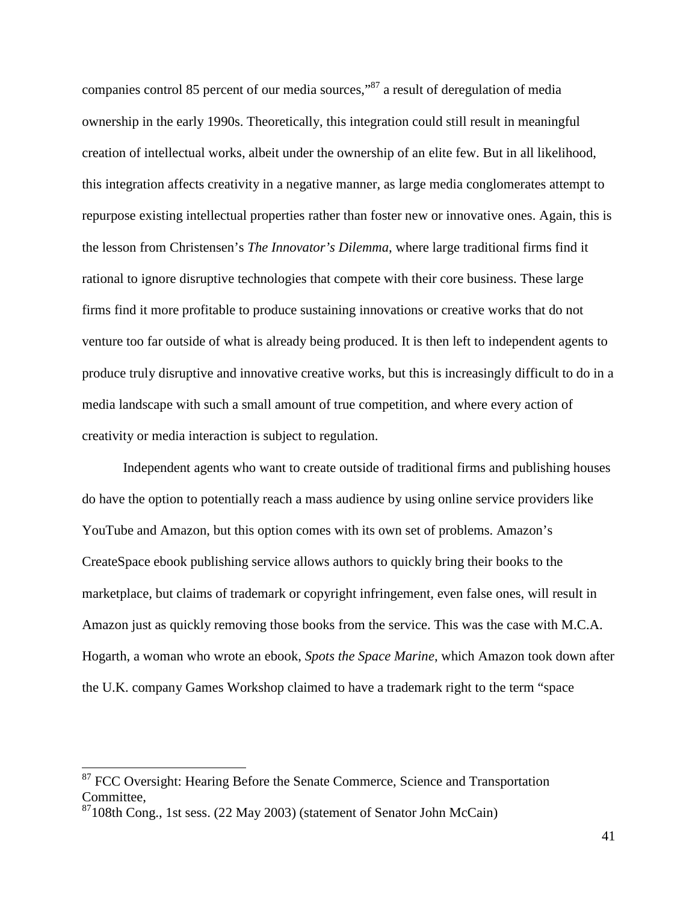companies control 85 percent of our media sources,"<sup>87</sup> a result of deregulation of media ownership in the early 1990s. Theoretically, this integration could still result in meaningful creation of intellectual works, albeit under the ownership of an elite few. But in all likelihood, this integration affects creativity in a negative manner, as large media conglomerates attempt to repurpose existing intellectual properties rather than foster new or innovative ones. Again, this is the lesson from Christensen's *The Innovator's Dilemma*, where large traditional firms find it rational to ignore disruptive technologies that compete with their core business. These large firms find it more profitable to produce sustaining innovations or creative works that do not venture too far outside of what is already being produced. It is then left to independent agents to produce truly disruptive and innovative creative works, but this is increasingly difficult to do in a media landscape with such a small amount of true competition, and where every action of creativity or media interaction is subject to regulation.

Independent agents who want to create outside of traditional firms and publishing houses do have the option to potentially reach a mass audience by using online service providers like YouTube and Amazon, but this option comes with its own set of problems. Amazon's CreateSpace ebook publishing service allows authors to quickly bring their books to the marketplace, but claims of trademark or copyright infringement, even false ones, will result in Amazon just as quickly removing those books from the service. This was the case with M.C.A. Hogarth, a woman who wrote an ebook, *Spots the Space Marine*, which Amazon took down after the U.K. company Games Workshop claimed to have a trademark right to the term "space

<sup>&</sup>lt;sup>87</sup> FCC Oversight: Hearing Before the Senate Commerce, Science and Transportation Committee,

<sup>&</sup>lt;sup>87</sup>108th Cong., 1st sess. (22 May 2003) (statement of Senator John McCain)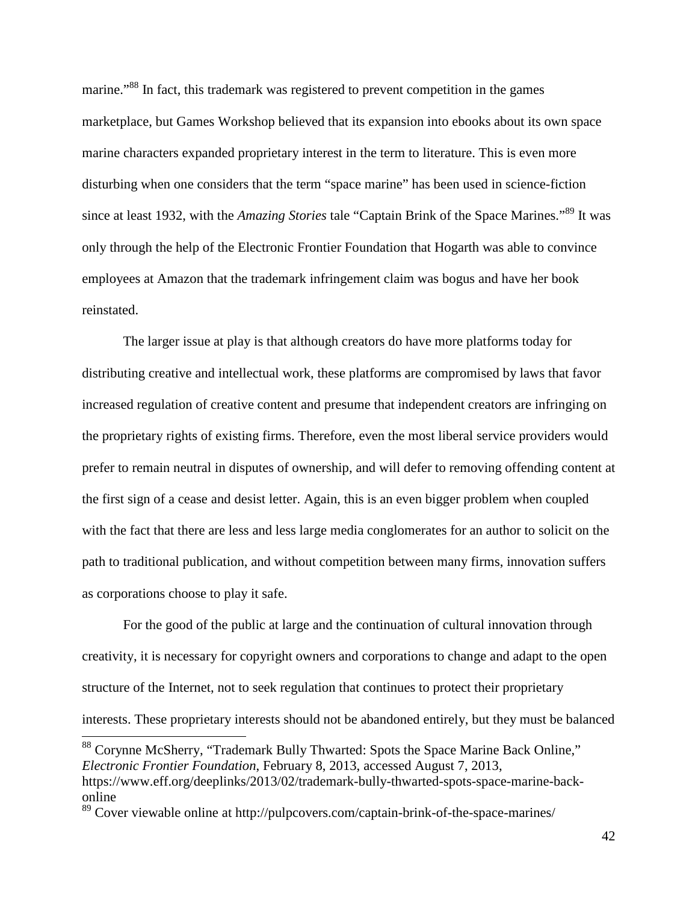marine."<sup>88</sup> In fact, this trademark was registered to prevent competition in the games marketplace, but Games Workshop believed that its expansion into ebooks about its own space marine characters expanded proprietary interest in the term to literature. This is even more disturbing when one considers that the term "space marine" has been used in science-fiction since at least 1932, with the *Amazing Stories* tale "Captain Brink of the Space Marines."<sup>89</sup> It was only through the help of the Electronic Frontier Foundation that Hogarth was able to convince employees at Amazon that the trademark infringement claim was bogus and have her book reinstated.

The larger issue at play is that although creators do have more platforms today for distributing creative and intellectual work, these platforms are compromised by laws that favor increased regulation of creative content and presume that independent creators are infringing on the proprietary rights of existing firms. Therefore, even the most liberal service providers would prefer to remain neutral in disputes of ownership, and will defer to removing offending content at the first sign of a cease and desist letter. Again, this is an even bigger problem when coupled with the fact that there are less and less large media conglomerates for an author to solicit on the path to traditional publication, and without competition between many firms, innovation suffers as corporations choose to play it safe.

For the good of the public at large and the continuation of cultural innovation through creativity, it is necessary for copyright owners and corporations to change and adapt to the open structure of the Internet, not to seek regulation that continues to protect their proprietary interests. These proprietary interests should not be abandoned entirely, but they must be balanced

<sup>&</sup>lt;sup>88</sup> Corynne McSherry, "Trademark Bully Thwarted: Spots the Space Marine Back Online," *Electronic Frontier Foundation*, February 8, 2013, accessed August 7, 2013, https://www.eff.org/deeplinks/2013/02/trademark-bully-thwarted-spots-space-marine-backonline

<sup>89</sup> Cover viewable online at http://pulpcovers.com/captain-brink-of-the-space-marines/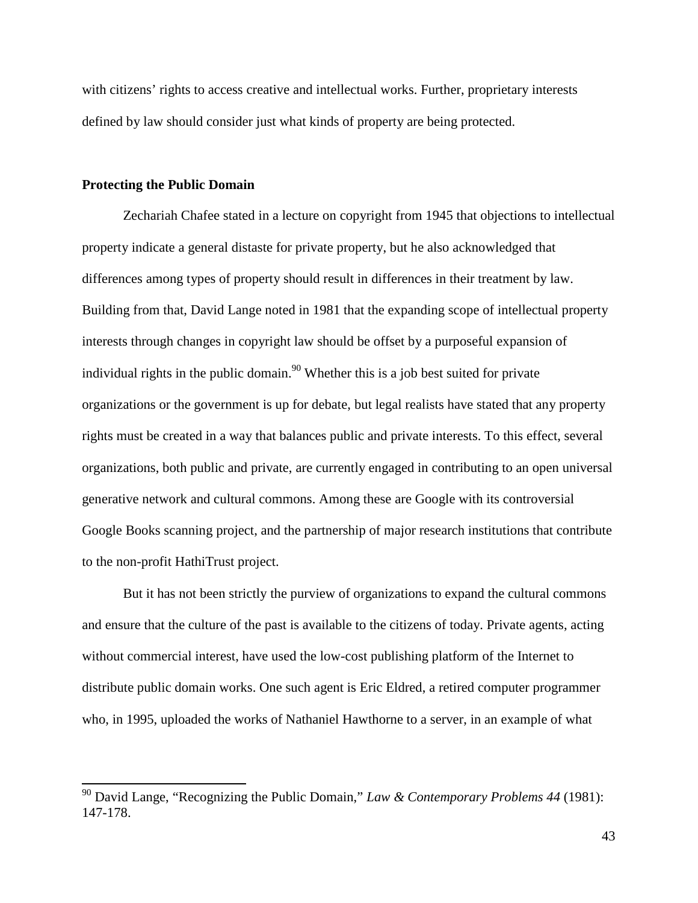with citizens' rights to access creative and intellectual works. Further, proprietary interests defined by law should consider just what kinds of property are being protected.

#### **Protecting the Public Domain**

Zechariah Chafee stated in a lecture on copyright from 1945 that objections to intellectual property indicate a general distaste for private property, but he also acknowledged that differences among types of property should result in differences in their treatment by law. Building from that, David Lange noted in 1981 that the expanding scope of intellectual property interests through changes in copyright law should be offset by a purposeful expansion of individual rights in the public domain.<sup>90</sup> Whether this is a job best suited for private organizations or the government is up for debate, but legal realists have stated that any property rights must be created in a way that balances public and private interests. To this effect, several organizations, both public and private, are currently engaged in contributing to an open universal generative network and cultural commons. Among these are Google with its controversial Google Books scanning project, and the partnership of major research institutions that contribute to the non-profit HathiTrust project.

But it has not been strictly the purview of organizations to expand the cultural commons and ensure that the culture of the past is available to the citizens of today. Private agents, acting without commercial interest, have used the low-cost publishing platform of the Internet to distribute public domain works. One such agent is Eric Eldred, a retired computer programmer who, in 1995, uploaded the works of Nathaniel Hawthorne to a server, in an example of what

<sup>90</sup> David Lange, "Recognizing the Public Domain," *Law & Contemporary Problems 44* (1981): 147-178.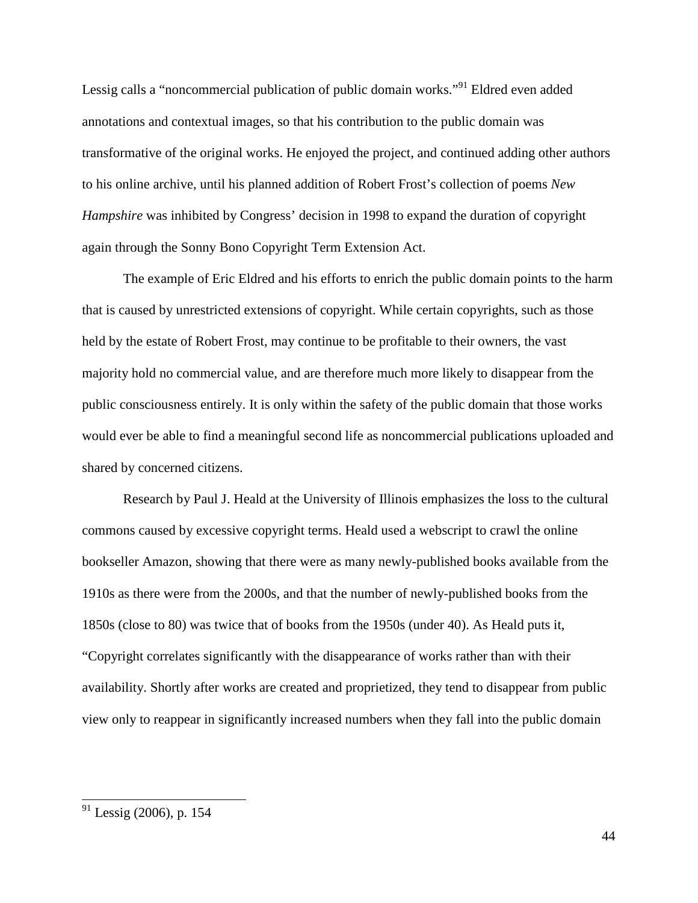Lessig calls a "noncommercial publication of public domain works."<sup>91</sup> Eldred even added annotations and contextual images, so that his contribution to the public domain was transformative of the original works. He enjoyed the project, and continued adding other authors to his online archive, until his planned addition of Robert Frost's collection of poems *New Hampshire* was inhibited by Congress' decision in 1998 to expand the duration of copyright again through the Sonny Bono Copyright Term Extension Act.

The example of Eric Eldred and his efforts to enrich the public domain points to the harm that is caused by unrestricted extensions of copyright. While certain copyrights, such as those held by the estate of Robert Frost, may continue to be profitable to their owners, the vast majority hold no commercial value, and are therefore much more likely to disappear from the public consciousness entirely. It is only within the safety of the public domain that those works would ever be able to find a meaningful second life as noncommercial publications uploaded and shared by concerned citizens.

Research by Paul J. Heald at the University of Illinois emphasizes the loss to the cultural commons caused by excessive copyright terms. Heald used a webscript to crawl the online bookseller Amazon, showing that there were as many newly-published books available from the 1910s as there were from the 2000s, and that the number of newly-published books from the 1850s (close to 80) was twice that of books from the 1950s (under 40). As Heald puts it, "Copyright correlates significantly with the disappearance of works rather than with their availability. Shortly after works are created and proprietized, they tend to disappear from public view only to reappear in significantly increased numbers when they fall into the public domain

 $91$  Lessig (2006), p. 154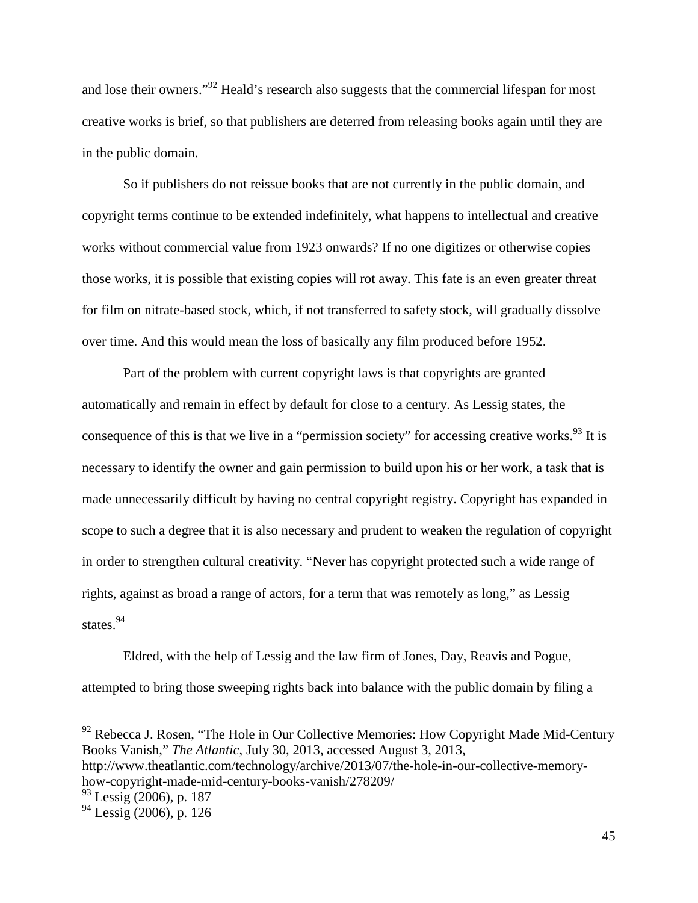and lose their owners."<sup>92</sup> Heald's research also suggests that the commercial lifespan for most creative works is brief, so that publishers are deterred from releasing books again until they are in the public domain.

So if publishers do not reissue books that are not currently in the public domain, and copyright terms continue to be extended indefinitely, what happens to intellectual and creative works without commercial value from 1923 onwards? If no one digitizes or otherwise copies those works, it is possible that existing copies will rot away. This fate is an even greater threat for film on nitrate-based stock, which, if not transferred to safety stock, will gradually dissolve over time. And this would mean the loss of basically any film produced before 1952.

Part of the problem with current copyright laws is that copyrights are granted automatically and remain in effect by default for close to a century. As Lessig states, the consequence of this is that we live in a "permission society" for accessing creative works.<sup>93</sup> It is necessary to identify the owner and gain permission to build upon his or her work, a task that is made unnecessarily difficult by having no central copyright registry. Copyright has expanded in scope to such a degree that it is also necessary and prudent to weaken the regulation of copyright in order to strengthen cultural creativity. "Never has copyright protected such a wide range of rights, against as broad a range of actors, for a term that was remotely as long," as Lessig states.<sup>94</sup>

Eldred, with the help of Lessig and the law firm of Jones, Day, Reavis and Pogue, attempted to bring those sweeping rights back into balance with the public domain by filing a

 $92$  Rebecca J. Rosen, "The Hole in Our Collective Memories: How Copyright Made Mid-Century Books Vanish," *The Atlantic*, July 30, 2013, accessed August 3, 2013, http://www.theatlantic.com/technology/archive/2013/07/the-hole-in-our-collective-memoryhow-copyright-made-mid-century-books-vanish/278209/

 $93$  Lessig (2006), p. 187

 $94$  Lessig (2006), p. 126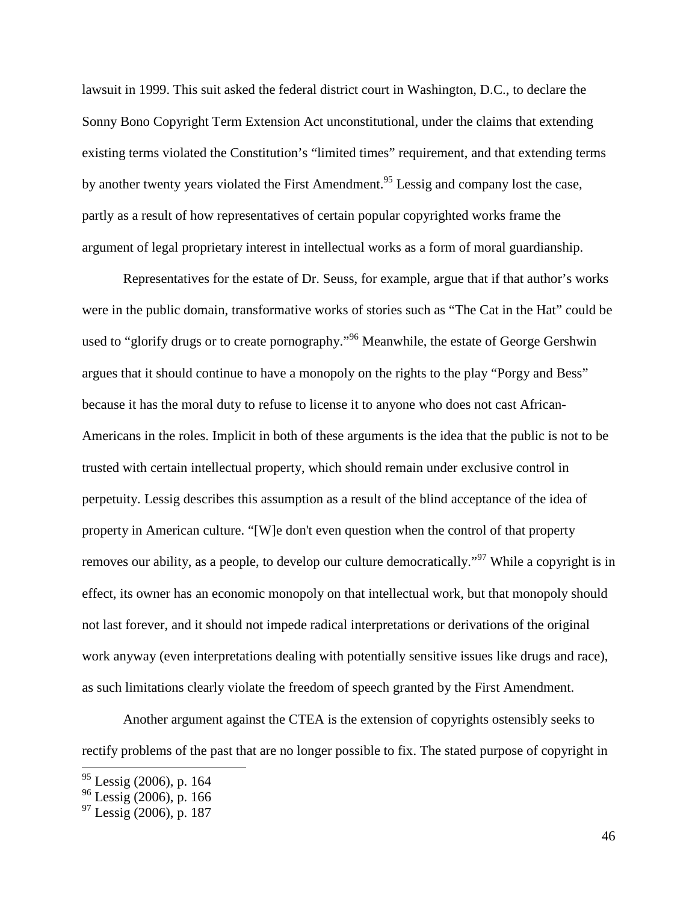lawsuit in 1999. This suit asked the federal district court in Washington, D.C., to declare the Sonny Bono Copyright Term Extension Act unconstitutional, under the claims that extending existing terms violated the Constitution's "limited times" requirement, and that extending terms by another twenty years violated the First Amendment.<sup>95</sup> Lessig and company lost the case, partly as a result of how representatives of certain popular copyrighted works frame the argument of legal proprietary interest in intellectual works as a form of moral guardianship.

Representatives for the estate of Dr. Seuss, for example, argue that if that author's works were in the public domain, transformative works of stories such as "The Cat in the Hat" could be used to "glorify drugs or to create pornography."<sup>96</sup> Meanwhile, the estate of George Gershwin argues that it should continue to have a monopoly on the rights to the play "Porgy and Bess" because it has the moral duty to refuse to license it to anyone who does not cast African-Americans in the roles. Implicit in both of these arguments is the idea that the public is not to be trusted with certain intellectual property, which should remain under exclusive control in perpetuity. Lessig describes this assumption as a result of the blind acceptance of the idea of property in American culture. "[W]e don't even question when the control of that property removes our ability, as a people, to develop our culture democratically."<sup>97</sup> While a copyright is in effect, its owner has an economic monopoly on that intellectual work, but that monopoly should not last forever, and it should not impede radical interpretations or derivations of the original work anyway (even interpretations dealing with potentially sensitive issues like drugs and race), as such limitations clearly violate the freedom of speech granted by the First Amendment.

Another argument against the CTEA is the extension of copyrights ostensibly seeks to rectify problems of the past that are no longer possible to fix. The stated purpose of copyright in

<sup>&</sup>lt;sup>95</sup> Lessig (2006), p. 164

<sup>96</sup> Lessig (2006), p. 166

 $97$  Lessig (2006), p. 187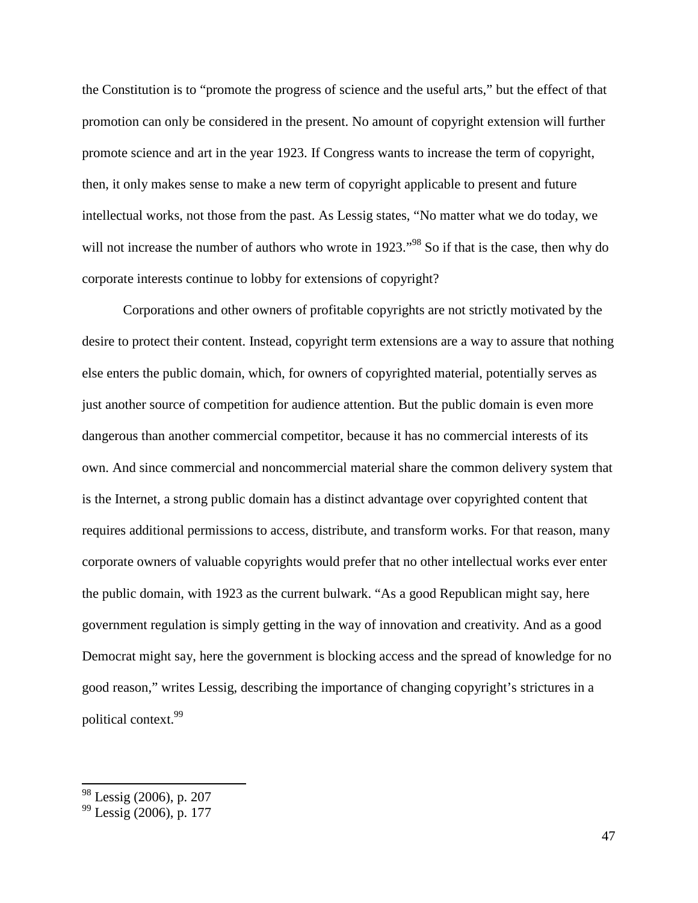the Constitution is to "promote the progress of science and the useful arts," but the effect of that promotion can only be considered in the present. No amount of copyright extension will further promote science and art in the year 1923. If Congress wants to increase the term of copyright, then, it only makes sense to make a new term of copyright applicable to present and future intellectual works, not those from the past. As Lessig states, "No matter what we do today, we will not increase the number of authors who wrote in 1923."<sup>98</sup> So if that is the case, then why do corporate interests continue to lobby for extensions of copyright?

Corporations and other owners of profitable copyrights are not strictly motivated by the desire to protect their content. Instead, copyright term extensions are a way to assure that nothing else enters the public domain, which, for owners of copyrighted material, potentially serves as just another source of competition for audience attention. But the public domain is even more dangerous than another commercial competitor, because it has no commercial interests of its own. And since commercial and noncommercial material share the common delivery system that is the Internet, a strong public domain has a distinct advantage over copyrighted content that requires additional permissions to access, distribute, and transform works. For that reason, many corporate owners of valuable copyrights would prefer that no other intellectual works ever enter the public domain, with 1923 as the current bulwark. "As a good Republican might say, here government regulation is simply getting in the way of innovation and creativity. And as a good Democrat might say, here the government is blocking access and the spread of knowledge for no good reason," writes Lessig, describing the importance of changing copyright's strictures in a political context.<sup>99</sup>

<sup>&</sup>lt;sup>98</sup> Lessig (2006), p. 207

<sup>99</sup> Lessig (2006), p. 177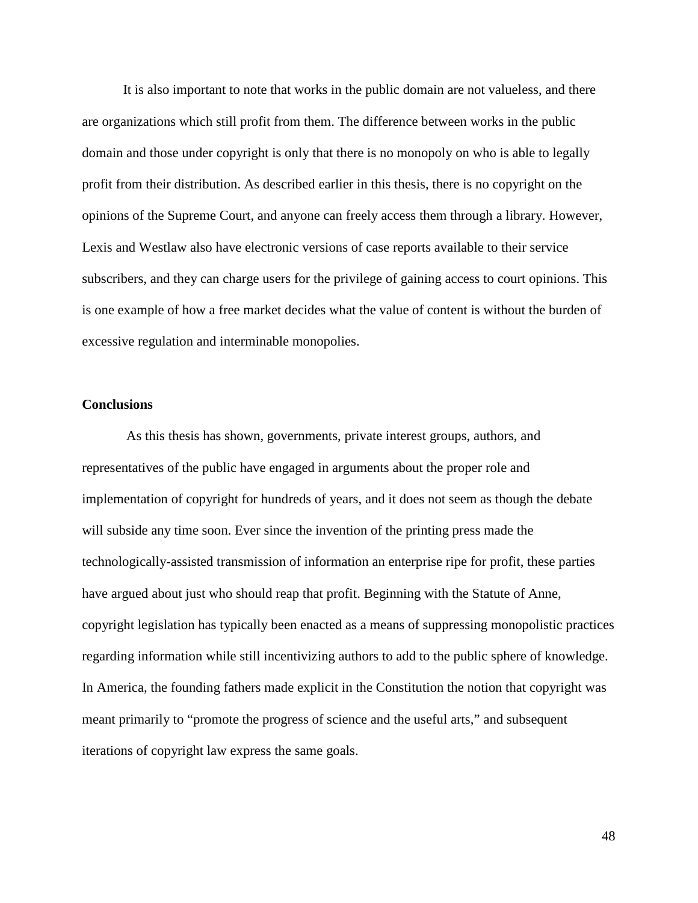It is also important to note that works in the public domain are not valueless, and there are organizations which still profit from them. The difference between works in the public domain and those under copyright is only that there is no monopoly on who is able to legally profit from their distribution. As described earlier in this thesis, there is no copyright on the opinions of the Supreme Court, and anyone can freely access them through a library. However, Lexis and Westlaw also have electronic versions of case reports available to their service subscribers, and they can charge users for the privilege of gaining access to court opinions. This is one example of how a free market decides what the value of content is without the burden of excessive regulation and interminable monopolies.

#### **Conclusions**

 As this thesis has shown, governments, private interest groups, authors, and representatives of the public have engaged in arguments about the proper role and implementation of copyright for hundreds of years, and it does not seem as though the debate will subside any time soon. Ever since the invention of the printing press made the technologically-assisted transmission of information an enterprise ripe for profit, these parties have argued about just who should reap that profit. Beginning with the Statute of Anne, copyright legislation has typically been enacted as a means of suppressing monopolistic practices regarding information while still incentivizing authors to add to the public sphere of knowledge. In America, the founding fathers made explicit in the Constitution the notion that copyright was meant primarily to "promote the progress of science and the useful arts," and subsequent iterations of copyright law express the same goals.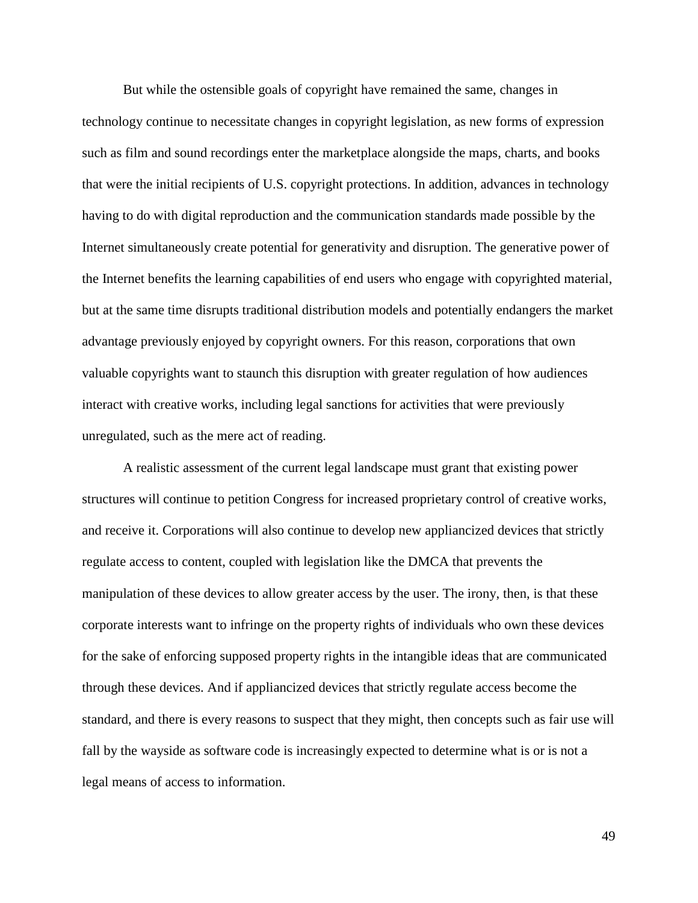But while the ostensible goals of copyright have remained the same, changes in technology continue to necessitate changes in copyright legislation, as new forms of expression such as film and sound recordings enter the marketplace alongside the maps, charts, and books that were the initial recipients of U.S. copyright protections. In addition, advances in technology having to do with digital reproduction and the communication standards made possible by the Internet simultaneously create potential for generativity and disruption. The generative power of the Internet benefits the learning capabilities of end users who engage with copyrighted material, but at the same time disrupts traditional distribution models and potentially endangers the market advantage previously enjoyed by copyright owners. For this reason, corporations that own valuable copyrights want to staunch this disruption with greater regulation of how audiences interact with creative works, including legal sanctions for activities that were previously unregulated, such as the mere act of reading.

A realistic assessment of the current legal landscape must grant that existing power structures will continue to petition Congress for increased proprietary control of creative works, and receive it. Corporations will also continue to develop new appliancized devices that strictly regulate access to content, coupled with legislation like the DMCA that prevents the manipulation of these devices to allow greater access by the user. The irony, then, is that these corporate interests want to infringe on the property rights of individuals who own these devices for the sake of enforcing supposed property rights in the intangible ideas that are communicated through these devices. And if appliancized devices that strictly regulate access become the standard, and there is every reasons to suspect that they might, then concepts such as fair use will fall by the wayside as software code is increasingly expected to determine what is or is not a legal means of access to information.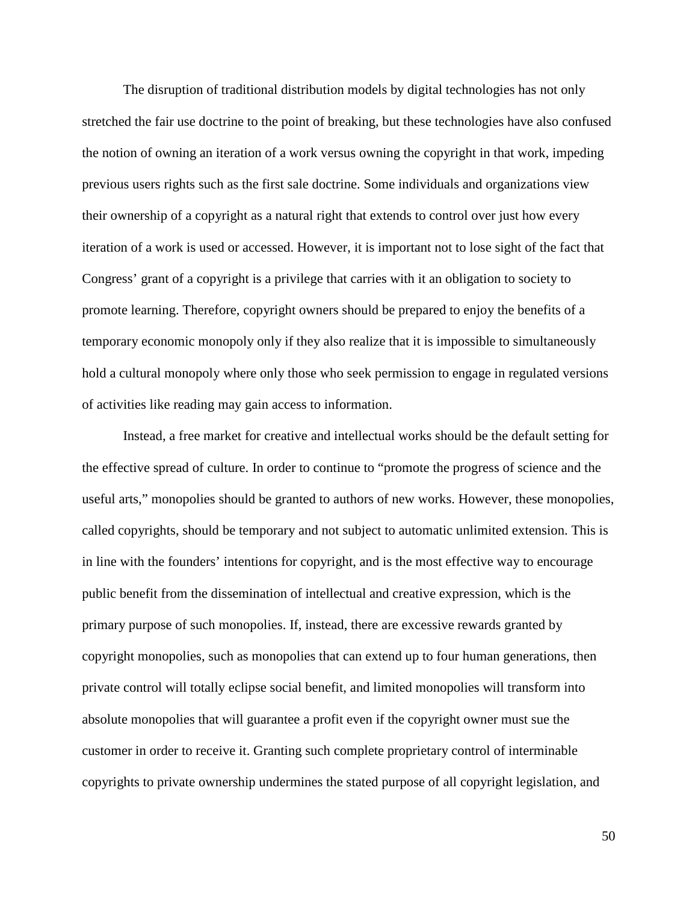The disruption of traditional distribution models by digital technologies has not only stretched the fair use doctrine to the point of breaking, but these technologies have also confused the notion of owning an iteration of a work versus owning the copyright in that work, impeding previous users rights such as the first sale doctrine. Some individuals and organizations view their ownership of a copyright as a natural right that extends to control over just how every iteration of a work is used or accessed. However, it is important not to lose sight of the fact that Congress' grant of a copyright is a privilege that carries with it an obligation to society to promote learning. Therefore, copyright owners should be prepared to enjoy the benefits of a temporary economic monopoly only if they also realize that it is impossible to simultaneously hold a cultural monopoly where only those who seek permission to engage in regulated versions of activities like reading may gain access to information.

Instead, a free market for creative and intellectual works should be the default setting for the effective spread of culture. In order to continue to "promote the progress of science and the useful arts," monopolies should be granted to authors of new works. However, these monopolies, called copyrights, should be temporary and not subject to automatic unlimited extension. This is in line with the founders' intentions for copyright, and is the most effective way to encourage public benefit from the dissemination of intellectual and creative expression, which is the primary purpose of such monopolies. If, instead, there are excessive rewards granted by copyright monopolies, such as monopolies that can extend up to four human generations, then private control will totally eclipse social benefit, and limited monopolies will transform into absolute monopolies that will guarantee a profit even if the copyright owner must sue the customer in order to receive it. Granting such complete proprietary control of interminable copyrights to private ownership undermines the stated purpose of all copyright legislation, and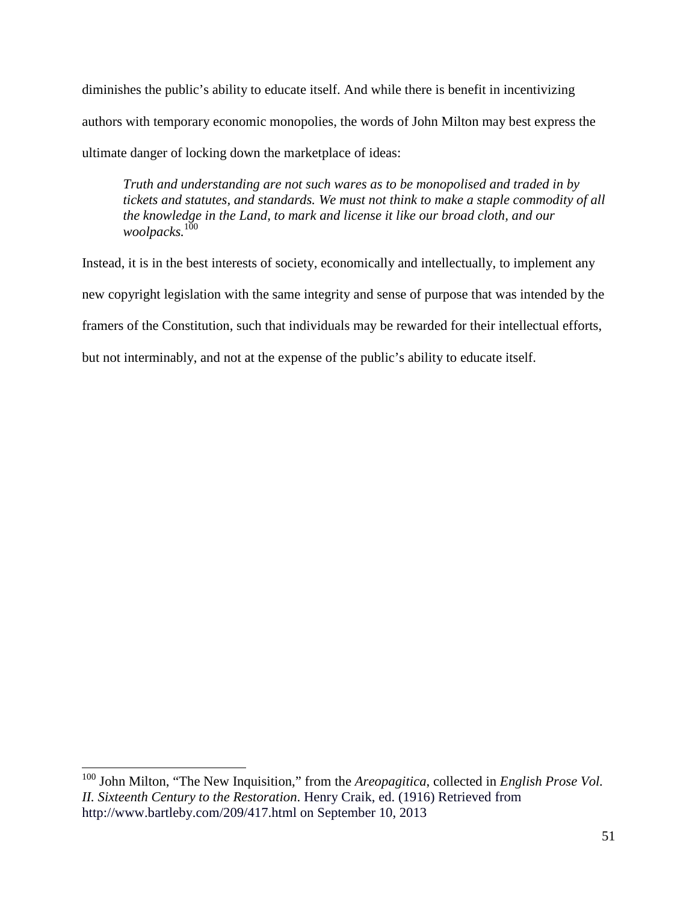diminishes the public's ability to educate itself. And while there is benefit in incentivizing authors with temporary economic monopolies, the words of John Milton may best express the ultimate danger of locking down the marketplace of ideas:

*Truth and understanding are not such wares as to be monopolised and traded in by tickets and statutes, and standards. We must not think to make a staple commodity of all the knowledge in the Land, to mark and license it like our broad cloth, and our woolpacks.*<sup>100</sup>

Instead, it is in the best interests of society, economically and intellectually, to implement any new copyright legislation with the same integrity and sense of purpose that was intended by the framers of the Constitution, such that individuals may be rewarded for their intellectual efforts, but not interminably, and not at the expense of the public's ability to educate itself.

<sup>100</sup> John Milton, "The New Inquisition," from the *Areopagitica*, collected in *English Prose Vol. II. Sixteenth Century to the Restoration*. Henry Craik, ed. (1916) Retrieved from http://www.bartleby.com/209/417.html on September 10, 2013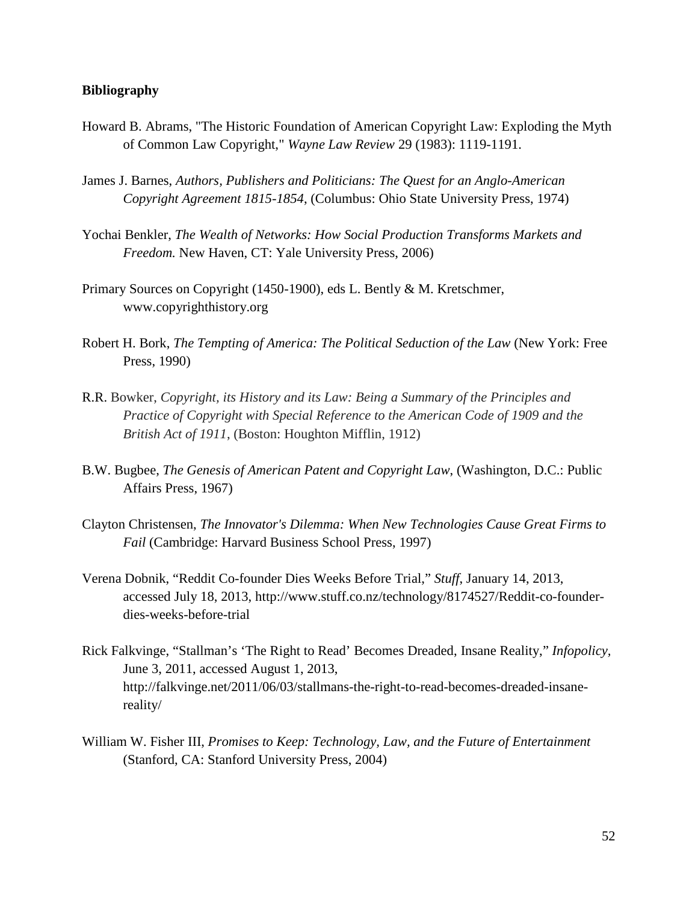#### **Bibliography**

- Howard B. Abrams, "The Historic Foundation of American Copyright Law: Exploding the Myth of Common Law Copyright," *Wayne Law Review* 29 (1983): 1119-1191.
- James J. Barnes, *Authors, Publishers and Politicians: The Quest for an Anglo-American Copyright Agreement 1815-1854*, (Columbus: Ohio State University Press, 1974)
- Yochai Benkler, *The Wealth of Networks: How Social Production Transforms Markets and Freedom.* New Haven, CT: Yale University Press, 2006)
- Primary Sources on Copyright (1450-1900), eds L. Bently & M. Kretschmer, www.copyrighthistory.org
- Robert H. Bork, *The Tempting of America: The Political Seduction of the Law* (New York: Free Press, 1990)
- R.R. Bowker, *Copyright, its History and its Law: Being a Summary of the Principles and Practice of Copyright with Special Reference to the American Code of 1909 and the British Act of 1911*, (Boston: Houghton Mifflin, 1912)
- B.W. Bugbee, *The Genesis of American Patent and Copyright Law*, (Washington, D.C.: Public Affairs Press, 1967)
- Clayton Christensen, *The Innovator's Dilemma: When New Technologies Cause Great Firms to Fail* (Cambridge: Harvard Business School Press, 1997)
- Verena Dobnik, "Reddit Co-founder Dies Weeks Before Trial," *Stuff*, January 14, 2013, accessed July 18, 2013, http://www.stuff.co.nz/technology/8174527/Reddit-co-founderdies-weeks-before-trial
- Rick Falkvinge, "Stallman's 'The Right to Read' Becomes Dreaded, Insane Reality," *Infopolicy,*  June 3, 2011, accessed August 1, 2013, http://falkvinge.net/2011/06/03/stallmans-the-right-to-read-becomes-dreaded-insanereality/
- William W. Fisher III, *Promises to Keep: Technology, Law, and the Future of Entertainment* (Stanford, CA: Stanford University Press, 2004)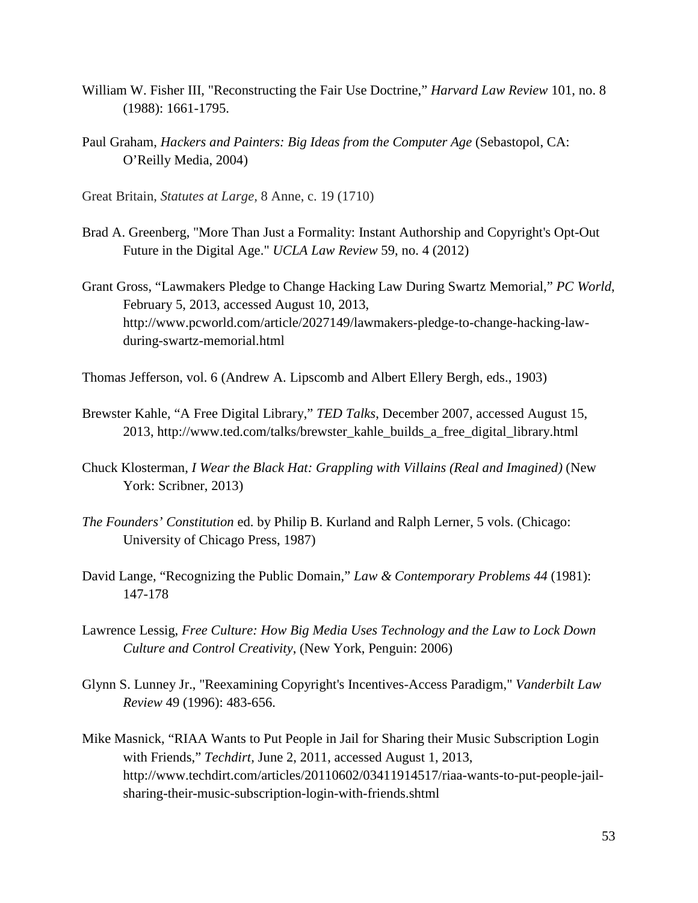- William W. Fisher III, "Reconstructing the Fair Use Doctrine," *Harvard Law Review* 101, no. 8 (1988): 1661-1795.
- Paul Graham, *Hackers and Painters: Big Ideas from the Computer Age* (Sebastopol, CA: O'Reilly Media, 2004)
- Great Britain, *Statutes at Large,* 8 Anne, c. 19 (1710)
- Brad A. Greenberg, "More Than Just a Formality: Instant Authorship and Copyright's Opt-Out Future in the Digital Age." *UCLA Law Review* 59, no. 4 (2012)
- Grant Gross, "Lawmakers Pledge to Change Hacking Law During Swartz Memorial," *PC World*, February 5, 2013, accessed August 10, 2013, http://www.pcworld.com/article/2027149/lawmakers-pledge-to-change-hacking-lawduring-swartz-memorial.html
- Thomas Jefferson, vol. 6 (Andrew A. Lipscomb and Albert Ellery Bergh, eds., 1903)
- Brewster Kahle, "A Free Digital Library," *TED Talks*, December 2007, accessed August 15, 2013, http://www.ted.com/talks/brewster\_kahle\_builds\_a\_free\_digital\_library.html
- Chuck Klosterman, *I Wear the Black Hat: Grappling with Villains (Real and Imagined)* (New York: Scribner, 2013)
- *The Founders' Constitution* ed. by Philip B. Kurland and Ralph Lerner, 5 vols. (Chicago: University of Chicago Press, 1987)
- David Lange, "Recognizing the Public Domain," *Law & Contemporary Problems 44* (1981): 147-178
- Lawrence Lessig, *Free Culture: How Big Media Uses Technology and the Law to Lock Down Culture and Control Creativity*, (New York, Penguin: 2006)
- Glynn S. Lunney Jr., "Reexamining Copyright's Incentives-Access Paradigm," *Vanderbilt Law Review* 49 (1996): 483-656.
- Mike Masnick, "RIAA Wants to Put People in Jail for Sharing their Music Subscription Login with Friends," *Techdirt,* June 2, 2011, accessed August 1, 2013, http://www.techdirt.com/articles/20110602/03411914517/riaa-wants-to-put-people-jailsharing-their-music-subscription-login-with-friends.shtml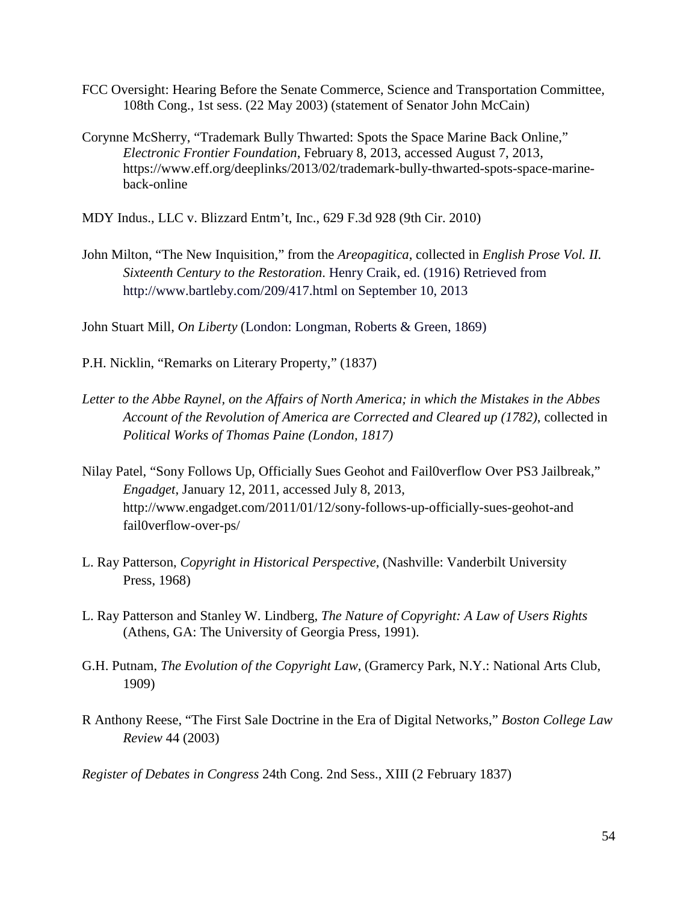- FCC Oversight: Hearing Before the Senate Commerce, Science and Transportation Committee, 108th Cong., 1st sess. (22 May 2003) (statement of Senator John McCain)
- Corynne McSherry, "Trademark Bully Thwarted: Spots the Space Marine Back Online," *Electronic Frontier Foundation*, February 8, 2013, accessed August 7, 2013, https://www.eff.org/deeplinks/2013/02/trademark-bully-thwarted-spots-space-marineback-online

MDY Indus., LLC v. Blizzard Entm't, Inc., 629 F.3d 928 (9th Cir. 2010)

John Milton, "The New Inquisition," from the *Areopagitica*, collected in *English Prose Vol. II. Sixteenth Century to the Restoration*. Henry Craik, ed. (1916) Retrieved from http://www.bartleby.com/209/417.html on September 10, 2013

John Stuart Mill, *On Liberty* (London: Longman, Roberts & Green, 1869)

P.H. Nicklin, "Remarks on Literary Property," (1837)

- *Letter to the Abbe Raynel, on the Affairs of North America; in which the Mistakes in the Abbes Account of the Revolution of America are Corrected and Cleared up (1782)*, collected in *Political Works of Thomas Paine (London, 1817)*
- Nilay Patel, "Sony Follows Up, Officially Sues Geohot and Fail0verflow Over PS3 Jailbreak," *Engadget*, January 12, 2011, accessed July 8, 2013, http://www.engadget.com/2011/01/12/sony-follows-up-officially-sues-geohot-and fail0verflow-over-ps/
- L. Ray Patterson, *Copyright in Historical Perspective*, (Nashville: Vanderbilt University Press, 1968)
- L. Ray Patterson and Stanley W. Lindberg, *The Nature of Copyright: A Law of Users Rights* (Athens, GA: The University of Georgia Press, 1991).
- G.H. Putnam, *The Evolution of the Copyright Law*, (Gramercy Park, N.Y.: National Arts Club, 1909)
- R Anthony Reese, "The First Sale Doctrine in the Era of Digital Networks," *Boston College Law Review* 44 (2003)

*Register of Debates in Congress* 24th Cong. 2nd Sess., XIII (2 February 1837)